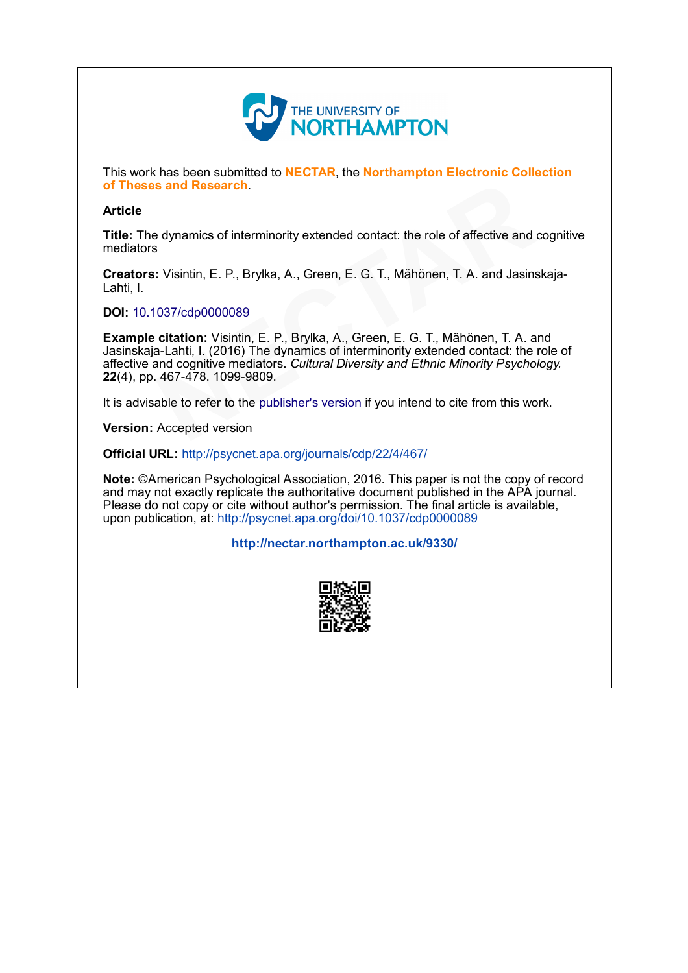

This work has been submitted to NECTAR, the Northampton Electronic Collection of Theses and Research.

### **Article**

Title: The dynamics of interminority extended contact: the role of affective and cognitive mediators

Creators: Visintin, E. P., Brylka, A., Green, E. G. T., Mähönen, T. A. and Jasinskaja-Lahti, I.

#### DOI: [10.1037/cdp0000089](http://dx.doi.org/10.1037/cdp0000089)

Example citation: Visintin, E. P., Brylka, A., Green, E. G. T., Mähönen, T. A. and Jasinskaja-Lahti, I. (2016) The dynamics of interminority extended contact: the role of affective and cognitive mediators. Cultural Diversity and Ethnic Minority Psychology. 22(4), pp. 467-478. 1099-9809. **s and Research**.<br>
a dynamics of interminority extended contact: the role of affective and  $\frac{1}{8}$ <br>
: Visintin, [E](http://dx.doi.org/10.1037/cdp0000089). P., Brylka, A., Green, E. G. T., Mähönen, T. A. and Jasins<br>
037/cdp0000089<br> **citation:** Visintin, E. P.,

It is advisable to refer to the publisher's version if you intend to cite from this work.

Version: Accepted version

Official URL: <http://psycnet.apa.org/journals/cdp/22/4/467/>

Note: ©American Psychological Association, 2016. This paper is not the copy of record and may not exactly replicate the authoritative document published in the APA journal. Please do not copy or cite without author's permission. The final article is available, upon publication, at: <http://psycnet.apa.org/doi/10.1037/cdp0000089>

#### <http://nectar.northampton.ac.uk/9330/>

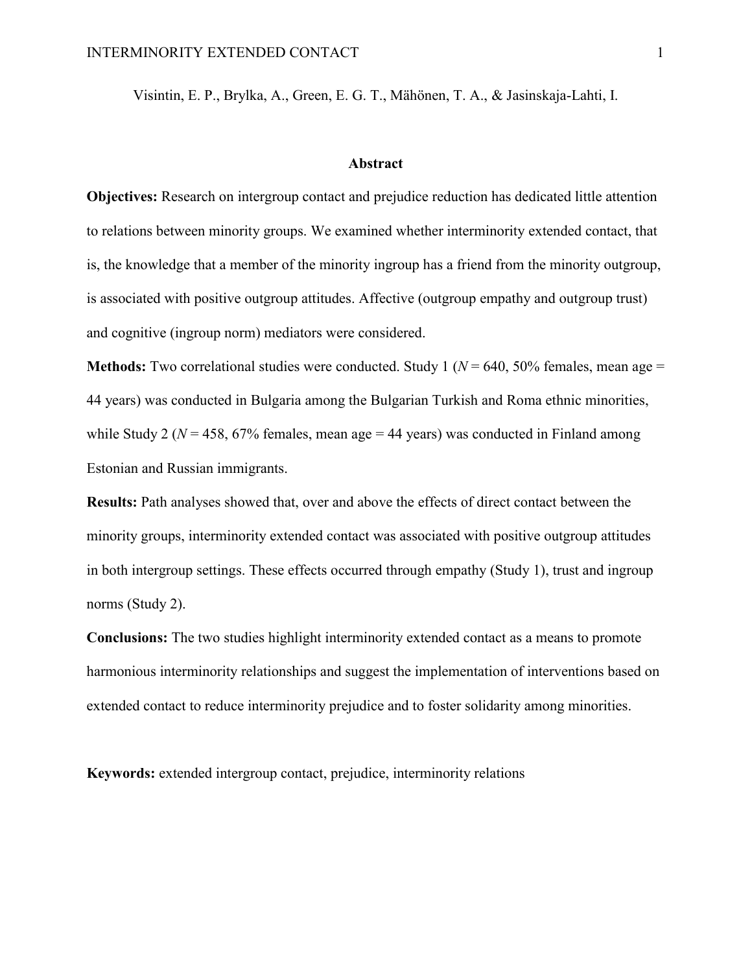Visintin, E. P., Brylka, A., Green, E. G. T., Mähönen, T. A., & Jasinskaja-Lahti, I.

### **Abstract**

**Objectives:** Research on intergroup contact and prejudice reduction has dedicated little attention to relations between minority groups. We examined whether interminority extended contact, that is, the knowledge that a member of the minority ingroup has a friend from the minority outgroup, is associated with positive outgroup attitudes. Affective (outgroup empathy and outgroup trust) and cognitive (ingroup norm) mediators were considered.

**Methods:** Two correlational studies were conducted. Study 1 ( $N = 640$ , 50% females, mean age = 44 years) was conducted in Bulgaria among the Bulgarian Turkish and Roma ethnic minorities, while Study 2 ( $N = 458$ ,  $67\%$  females, mean age = 44 years) was conducted in Finland among Estonian and Russian immigrants.

**Results:** Path analyses showed that, over and above the effects of direct contact between the minority groups, interminority extended contact was associated with positive outgroup attitudes in both intergroup settings. These effects occurred through empathy (Study 1), trust and ingroup norms (Study 2).

**Conclusions:** The two studies highlight interminority extended contact as a means to promote harmonious interminority relationships and suggest the implementation of interventions based on extended contact to reduce interminority prejudice and to foster solidarity among minorities.

**Keywords:** extended intergroup contact, prejudice, interminority relations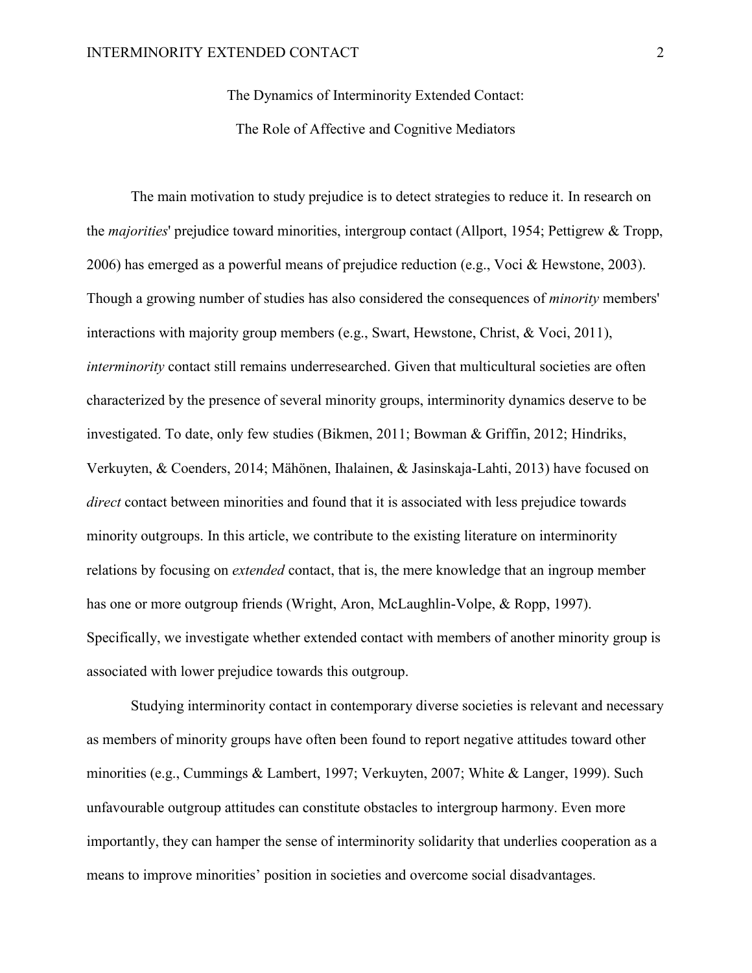The Dynamics of Interminority Extended Contact:

The Role of Affective and Cognitive Mediators

The main motivation to study prejudice is to detect strategies to reduce it. In research on the *majorities*' prejudice toward minorities, intergroup contact (Allport, 1954; Pettigrew & Tropp, 2006) has emerged as a powerful means of prejudice reduction (e.g., Voci & Hewstone, 2003). Though a growing number of studies has also considered the consequences of *minority* members' interactions with majority group members (e.g., Swart, Hewstone, Christ, & Voci, 2011), *interminority* contact still remains underresearched. Given that multicultural societies are often characterized by the presence of several minority groups, interminority dynamics deserve to be investigated. To date, only few studies (Bikmen, 2011; Bowman & Griffin, 2012; Hindriks, Verkuyten, & Coenders, 2014; Mähönen, Ihalainen, & Jasinskaja-Lahti, 2013) have focused on *direct* contact between minorities and found that it is associated with less prejudice towards minority outgroups. In this article, we contribute to the existing literature on interminority relations by focusing on *extended* contact, that is, the mere knowledge that an ingroup member has one or more outgroup friends (Wright, Aron, McLaughlin-Volpe, & Ropp, 1997). Specifically, we investigate whether extended contact with members of another minority group is associated with lower prejudice towards this outgroup.

Studying interminority contact in contemporary diverse societies is relevant and necessary as members of minority groups have often been found to report negative attitudes toward other minorities (e.g., Cummings & Lambert, 1997; Verkuyten, 2007; White & Langer, 1999). Such unfavourable outgroup attitudes can constitute obstacles to intergroup harmony. Even more importantly, they can hamper the sense of interminority solidarity that underlies cooperation as a means to improve minorities' position in societies and overcome social disadvantages.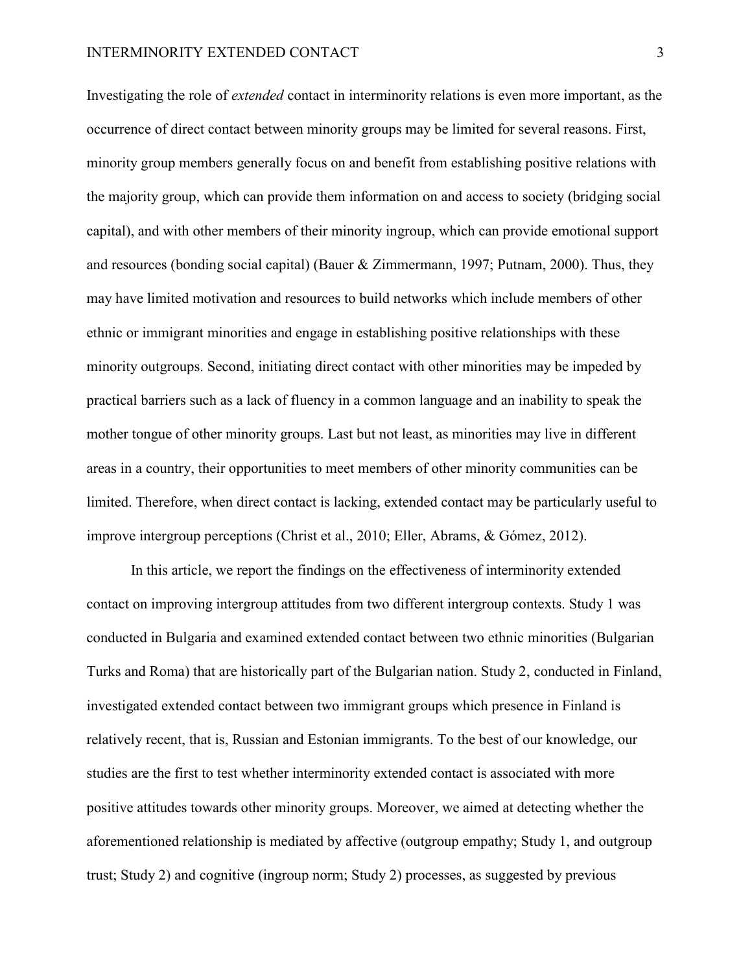#### INTERMINORITY EXTENDED CONTACT 3

Investigating the role of *extended* contact in interminority relations is even more important, as the occurrence of direct contact between minority groups may be limited for several reasons. First, minority group members generally focus on and benefit from establishing positive relations with the majority group, which can provide them information on and access to society (bridging social capital), and with other members of their minority ingroup, which can provide emotional support and resources (bonding social capital) (Bauer  $& Zimmermann, 1997$ ; Putnam, 2000). Thus, they may have limited motivation and resources to build networks which include members of other ethnic or immigrant minorities and engage in establishing positive relationships with these minority outgroups. Second, initiating direct contact with other minorities may be impeded by practical barriers such as a lack of fluency in a common language and an inability to speak the mother tongue of other minority groups. Last but not least, as minorities may live in different areas in a country, their opportunities to meet members of other minority communities can be limited. Therefore, when direct contact is lacking, extended contact may be particularly useful to improve intergroup perceptions (Christ et al., 2010; Eller, Abrams, & Gómez, 2012).

In this article, we report the findings on the effectiveness of interminority extended contact on improving intergroup attitudes from two different intergroup contexts. Study 1 was conducted in Bulgaria and examined extended contact between two ethnic minorities (Bulgarian Turks and Roma) that are historically part of the Bulgarian nation. Study 2, conducted in Finland, investigated extended contact between two immigrant groups which presence in Finland is relatively recent, that is, Russian and Estonian immigrants. To the best of our knowledge, our studies are the first to test whether interminority extended contact is associated with more positive attitudes towards other minority groups. Moreover, we aimed at detecting whether the aforementioned relationship is mediated by affective (outgroup empathy; Study 1, and outgroup trust; Study 2) and cognitive (ingroup norm; Study 2) processes, as suggested by previous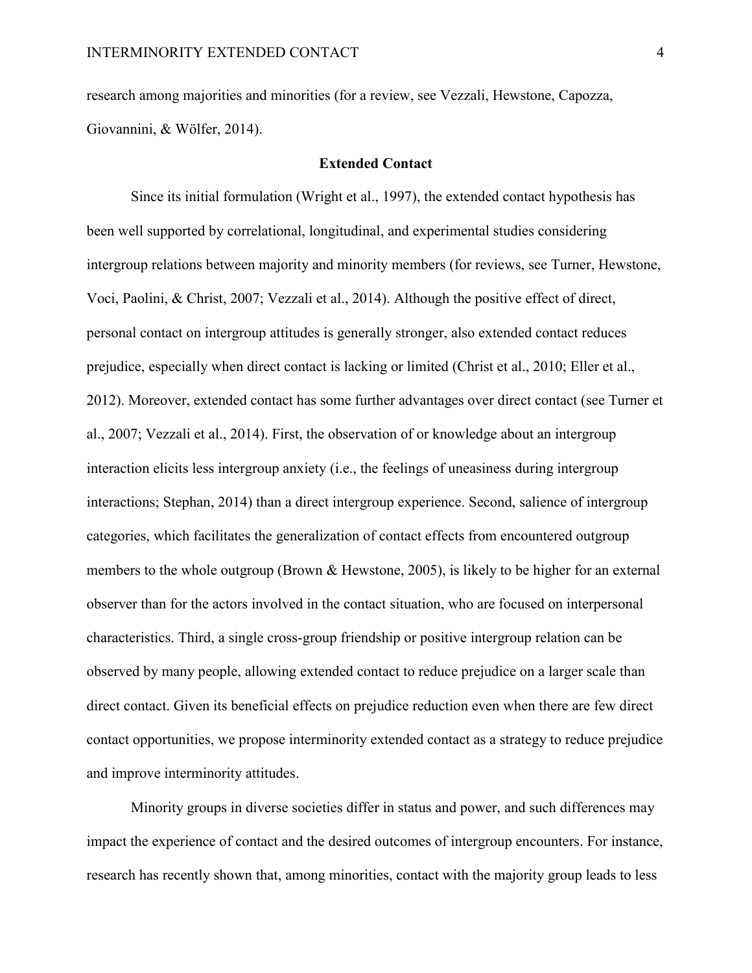research among majorities and minorities (for a review, see Vezzali, Hewstone, Capozza, Giovannini, & Wölfer, 2014).

## **Extended Contact**

Since its initial formulation (Wright et al., 1997), the extended contact hypothesis has been well supported by correlational, longitudinal, and experimental studies considering intergroup relations between majority and minority members (for reviews, see Turner, Hewstone, Voci, Paolini, & Christ, 2007; Vezzali et al., 2014). Although the positive effect of direct, personal contact on intergroup attitudes is generally stronger, also extended contact reduces prejudice, especially when direct contact is lacking or limited (Christ et al., 2010; Eller et al., 2012). Moreover, extended contact has some further advantages over direct contact (see Turner et al., 2007; Vezzali et al., 2014). First, the observation of or knowledge about an intergroup interaction elicits less intergroup anxiety (i.e., the feelings of uneasiness during intergroup interactions; Stephan, 2014) than a direct intergroup experience. Second, salience of intergroup categories, which facilitates the generalization of contact effects from encountered outgroup members to the whole outgroup (Brown & Hewstone, 2005), is likely to be higher for an external observer than for the actors involved in the contact situation, who are focused on interpersonal characteristics. Third, a single cross-group friendship or positive intergroup relation can be observed by many people, allowing extended contact to reduce prejudice on a larger scale than direct contact. Given its beneficial effects on prejudice reduction even when there are few direct contact opportunities, we propose interminority extended contact as a strategy to reduce prejudice and improve interminority attitudes.

Minority groups in diverse societies differ in status and power, and such differences may impact the experience of contact and the desired outcomes of intergroup encounters. For instance, research has recently shown that, among minorities, contact with the majority group leads to less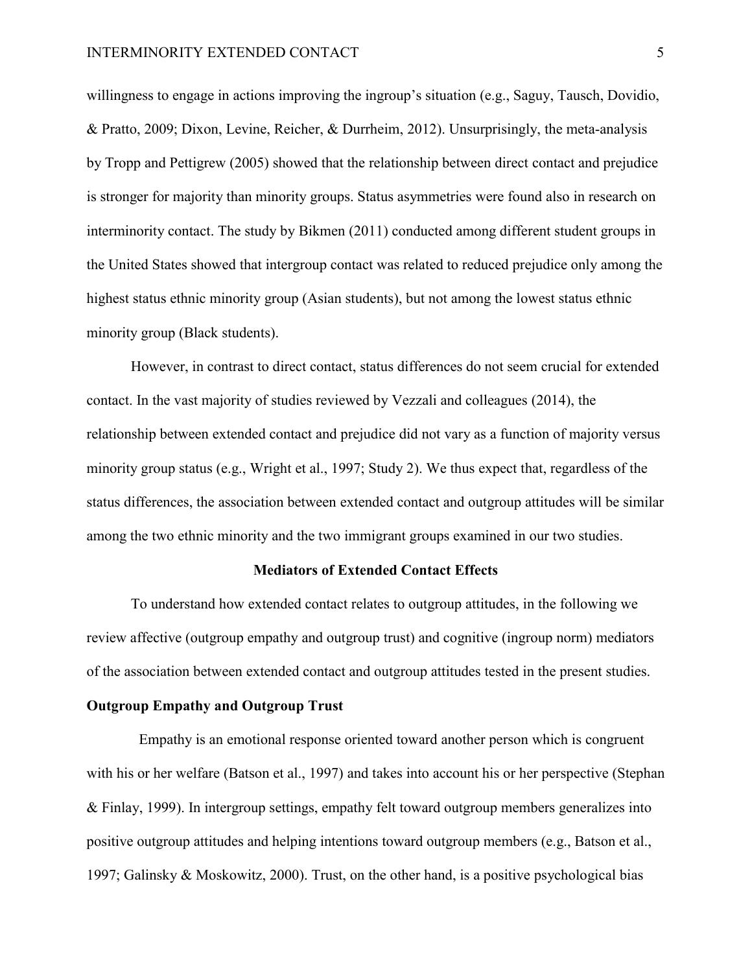willingness to engage in actions improving the ingroup's situation (e.g., Saguy, Tausch, Dovidio, & Pratto, 2009; Dixon, Levine, Reicher, & Durrheim, 2012). Unsurprisingly, the meta-analysis by Tropp and Pettigrew (2005) showed that the relationship between direct contact and prejudice is stronger for majority than minority groups. Status asymmetries were found also in research on interminority contact. The study by Bikmen (2011) conducted among different student groups in the United States showed that intergroup contact was related to reduced prejudice only among the highest status ethnic minority group (Asian students), but not among the lowest status ethnic minority group (Black students).

However, in contrast to direct contact, status differences do not seem crucial for extended contact. In the vast majority of studies reviewed by Vezzali and colleagues (2014), the relationship between extended contact and prejudice did not vary as a function of majority versus minority group status (e.g., Wright et al., 1997; Study 2). We thus expect that, regardless of the status differences, the association between extended contact and outgroup attitudes will be similar among the two ethnic minority and the two immigrant groups examined in our two studies.

## **Mediators of Extended Contact Effects**

To understand how extended contact relates to outgroup attitudes, in the following we review affective (outgroup empathy and outgroup trust) and cognitive (ingroup norm) mediators of the association between extended contact and outgroup attitudes tested in the present studies.

## **Outgroup Empathy and Outgroup Trust**

Empathy is an emotional response oriented toward another person which is congruent with his or her welfare (Batson et al., 1997) and takes into account his or her perspective (Stephan & Finlay, 1999). In intergroup settings, empathy felt toward outgroup members generalizes into positive outgroup attitudes and helping intentions toward outgroup members (e.g., Batson et al., 1997; Galinsky & Moskowitz, 2000). Trust, on the other hand, is a positive psychological bias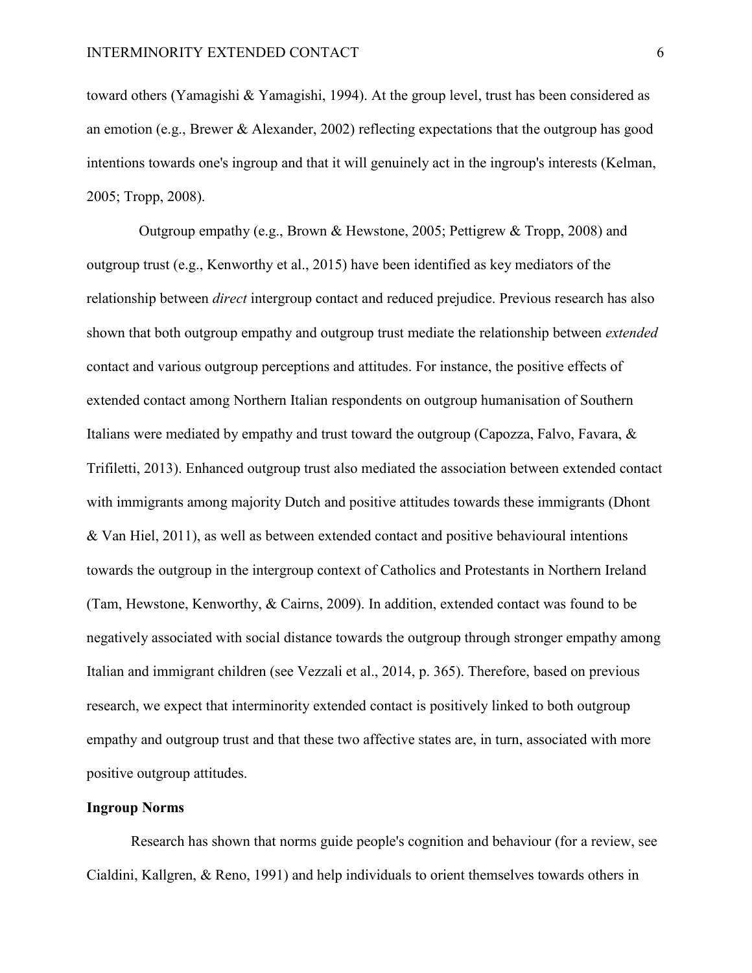toward others (Yamagishi & Yamagishi, 1994). At the group level, trust has been considered as an emotion (e.g., Brewer & Alexander, 2002) reflecting expectations that the outgroup has good intentions towards one's ingroup and that it will genuinely act in the ingroup's interests (Kelman, 2005; Tropp, 2008).

Outgroup empathy (e.g., Brown & Hewstone, 2005; Pettigrew & Tropp, 2008) and outgroup trust (e.g., Kenworthy et al., 2015) have been identified as key mediators of the relationship between *direct* intergroup contact and reduced prejudice. Previous research has also shown that both outgroup empathy and outgroup trust mediate the relationship between *extended* contact and various outgroup perceptions and attitudes. For instance, the positive effects of extended contact among Northern Italian respondents on outgroup humanisation of Southern Italians were mediated by empathy and trust toward the outgroup (Capozza, Falvo, Favara, & Trifiletti, 2013). Enhanced outgroup trust also mediated the association between extended contact with immigrants among majority Dutch and positive attitudes towards these immigrants (Dhont & Van Hiel, 2011), as well as between extended contact and positive behavioural intentions towards the outgroup in the intergroup context of Catholics and Protestants in Northern Ireland (Tam, Hewstone, Kenworthy, & Cairns, 2009). In addition, extended contact was found to be negatively associated with social distance towards the outgroup through stronger empathy among Italian and immigrant children (see Vezzali et al., 2014, p. 365). Therefore, based on previous research, we expect that interminority extended contact is positively linked to both outgroup empathy and outgroup trust and that these two affective states are, in turn, associated with more positive outgroup attitudes.

## **Ingroup Norms**

Research has shown that norms guide people's cognition and behaviour (for a review, see Cialdini, Kallgren, & Reno, 1991) and help individuals to orient themselves towards others in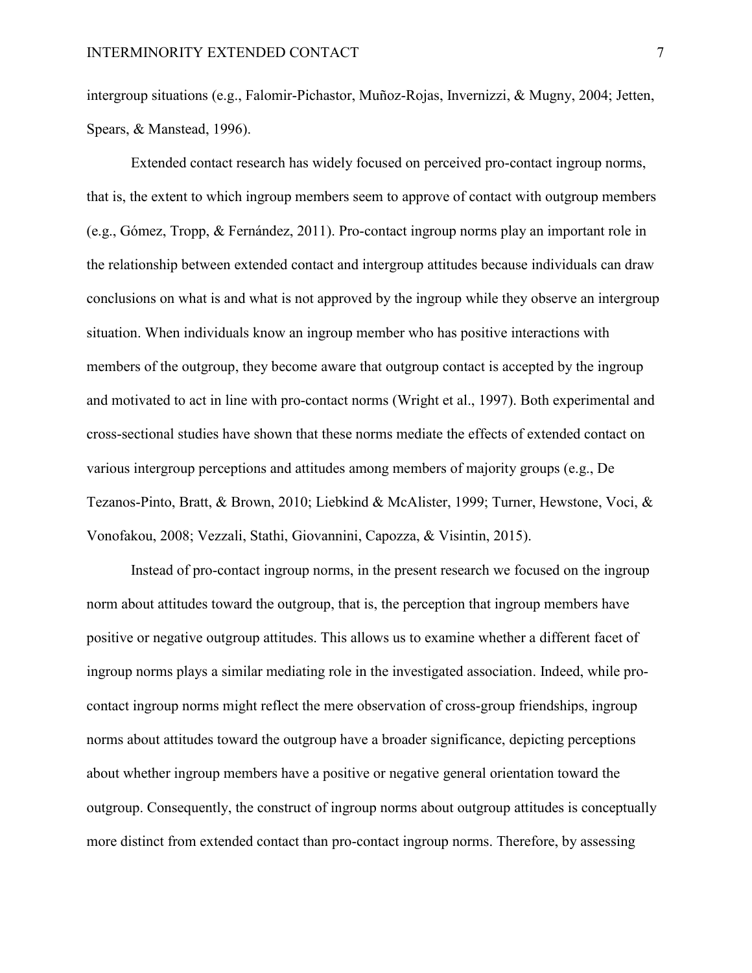intergroup situations (e.g., Falomir-Pichastor, Muñoz-Rojas, Invernizzi, & Mugny, 2004; Jetten, Spears, & Manstead, 1996).

Extended contact research has widely focused on perceived pro-contact ingroup norms, that is, the extent to which ingroup members seem to approve of contact with outgroup members (e.g., Gómez, Tropp, & Fernández, 2011). Pro-contact ingroup norms play an important role in the relationship between extended contact and intergroup attitudes because individuals can draw conclusions on what is and what is not approved by the ingroup while they observe an intergroup situation. When individuals know an ingroup member who has positive interactions with members of the outgroup, they become aware that outgroup contact is accepted by the ingroup and motivated to act in line with pro-contact norms (Wright et al., 1997). Both experimental and cross-sectional studies have shown that these norms mediate the effects of extended contact on various intergroup perceptions and attitudes among members of majority groups (e.g., De Tezanos-Pinto, Bratt, & Brown, 2010; Liebkind & McAlister, 1999; Turner, Hewstone, Voci, & Vonofakou, 2008; Vezzali, Stathi, Giovannini, Capozza, & Visintin, 2015).

Instead of pro-contact ingroup norms, in the present research we focused on the ingroup norm about attitudes toward the outgroup, that is, the perception that ingroup members have positive or negative outgroup attitudes. This allows us to examine whether a different facet of ingroup norms plays a similar mediating role in the investigated association. Indeed, while procontact ingroup norms might reflect the mere observation of cross-group friendships, ingroup norms about attitudes toward the outgroup have a broader significance, depicting perceptions about whether ingroup members have a positive or negative general orientation toward the outgroup. Consequently, the construct of ingroup norms about outgroup attitudes is conceptually more distinct from extended contact than pro-contact ingroup norms. Therefore, by assessing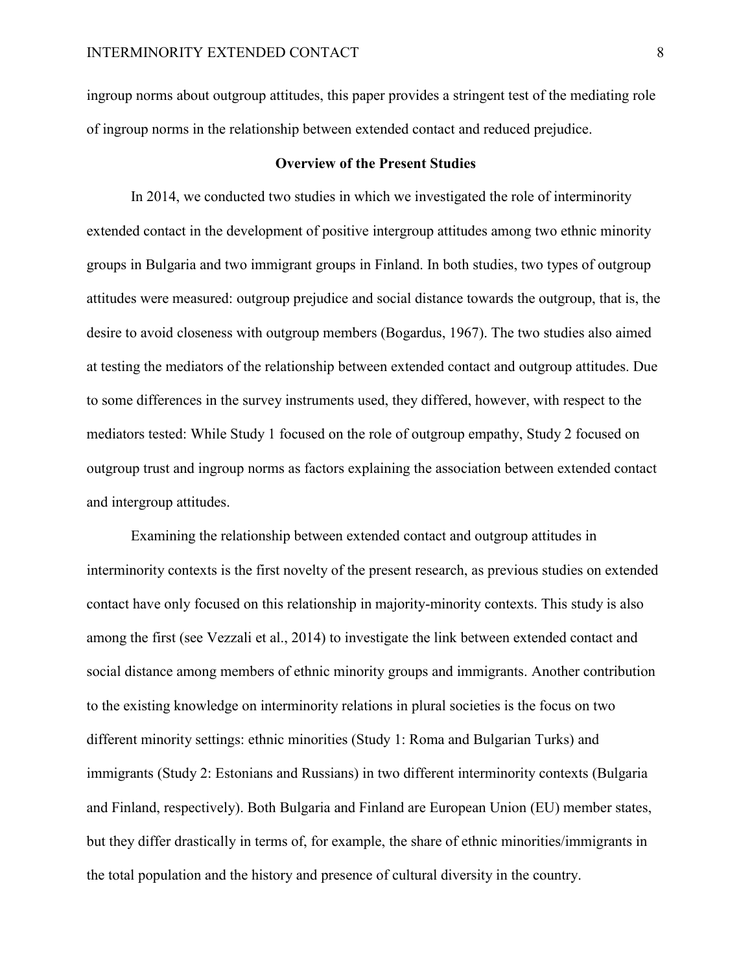ingroup norms about outgroup attitudes, this paper provides a stringent test of the mediating role of ingroup norms in the relationship between extended contact and reduced prejudice.

### **Overview of the Present Studies**

In 2014, we conducted two studies in which we investigated the role of interminority extended contact in the development of positive intergroup attitudes among two ethnic minority groups in Bulgaria and two immigrant groups in Finland. In both studies, two types of outgroup attitudes were measured: outgroup prejudice and social distance towards the outgroup, that is, the desire to avoid closeness with outgroup members (Bogardus, 1967). The two studies also aimed at testing the mediators of the relationship between extended contact and outgroup attitudes. Due to some differences in the survey instruments used, they differed, however, with respect to the mediators tested: While Study 1 focused on the role of outgroup empathy, Study 2 focused on outgroup trust and ingroup norms as factors explaining the association between extended contact and intergroup attitudes.

Examining the relationship between extended contact and outgroup attitudes in interminority contexts is the first novelty of the present research, as previous studies on extended contact have only focused on this relationship in majority-minority contexts. This study is also among the first (see Vezzali et al., 2014) to investigate the link between extended contact and social distance among members of ethnic minority groups and immigrants. Another contribution to the existing knowledge on interminority relations in plural societies is the focus on two different minority settings: ethnic minorities (Study 1: Roma and Bulgarian Turks) and immigrants (Study 2: Estonians and Russians) in two different interminority contexts (Bulgaria and Finland, respectively). Both Bulgaria and Finland are European Union (EU) member states, but they differ drastically in terms of, for example, the share of ethnic minorities/immigrants in the total population and the history and presence of cultural diversity in the country.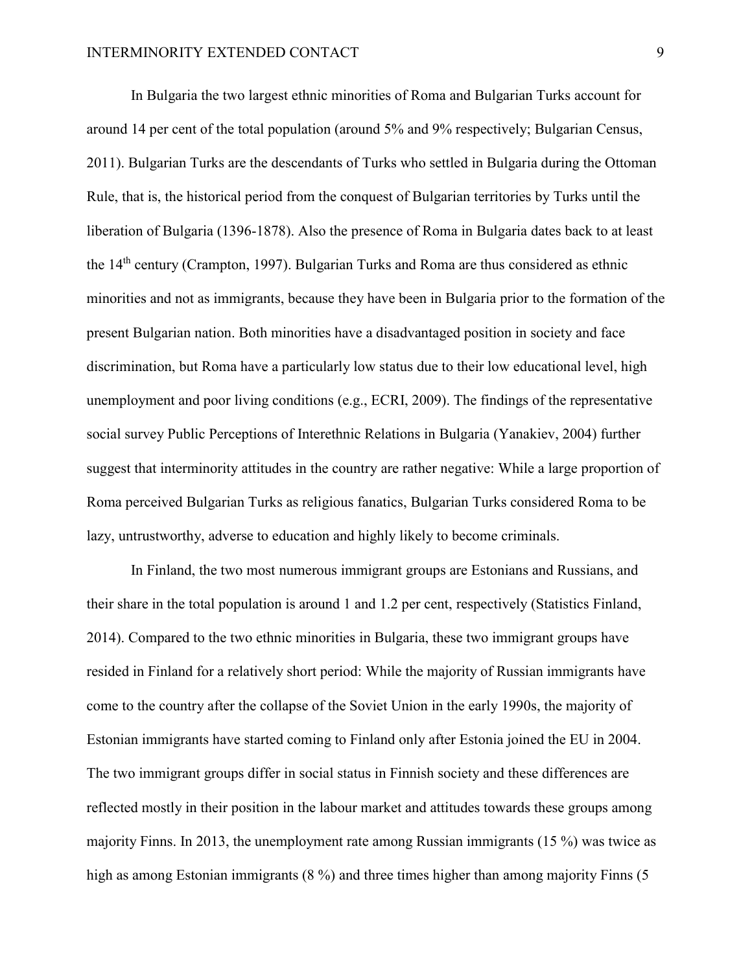In Bulgaria the two largest ethnic minorities of Roma and Bulgarian Turks account for around 14 per cent of the total population (around 5% and 9% respectively; Bulgarian Census, 2011). Bulgarian Turks are the descendants of Turks who settled in Bulgaria during the Ottoman Rule, that is, the historical period from the conquest of Bulgarian territories by Turks until the liberation of Bulgaria (1396-1878). Also the presence of Roma in Bulgaria dates back to at least the 14th century (Crampton, 1997). Bulgarian Turks and Roma are thus considered as ethnic minorities and not as immigrants, because they have been in Bulgaria prior to the formation of the present Bulgarian nation. Both minorities have a disadvantaged position in society and face discrimination, but Roma have a particularly low status due to their low educational level, high unemployment and poor living conditions (e.g., ECRI, 2009). The findings of the representative social survey Public Perceptions of Interethnic Relations in Bulgaria (Yanakiev, 2004) further suggest that interminority attitudes in the country are rather negative: While a large proportion of Roma perceived Bulgarian Turks as religious fanatics, Bulgarian Turks considered Roma to be lazy, untrustworthy, adverse to education and highly likely to become criminals.

In Finland, the two most numerous immigrant groups are Estonians and Russians, and their share in the total population is around 1 and 1.2 per cent, respectively (Statistics Finland, 2014). Compared to the two ethnic minorities in Bulgaria, these two immigrant groups have resided in Finland for a relatively short period: While the majority of Russian immigrants have come to the country after the collapse of the Soviet Union in the early 1990s, the majority of Estonian immigrants have started coming to Finland only after Estonia joined the EU in 2004. The two immigrant groups differ in social status in Finnish society and these differences are reflected mostly in their position in the labour market and attitudes towards these groups among majority Finns. In 2013, the unemployment rate among Russian immigrants (15 %) was twice as high as among Estonian immigrants (8 %) and three times higher than among majority Finns (5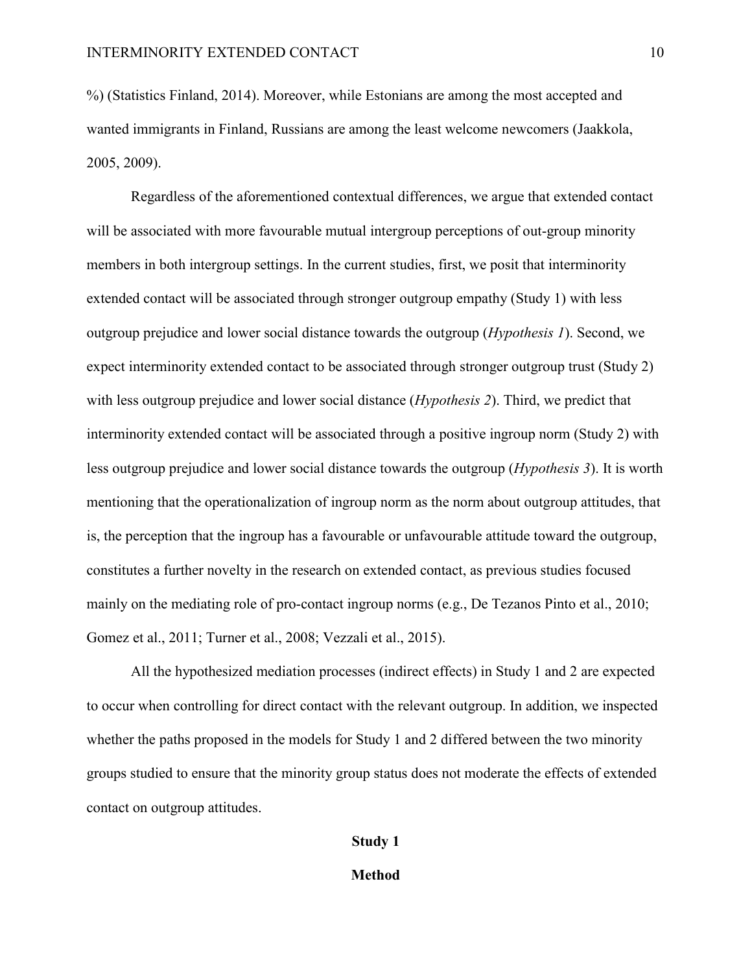%) (Statistics Finland, 2014). Moreover, while Estonians are among the most accepted and wanted immigrants in Finland, Russians are among the least welcome newcomers (Jaakkola, 2005, 2009).

Regardless of the aforementioned contextual differences, we argue that extended contact will be associated with more favourable mutual intergroup perceptions of out-group minority members in both intergroup settings. In the current studies, first, we posit that interminority extended contact will be associated through stronger outgroup empathy (Study 1) with less outgroup prejudice and lower social distance towards the outgroup (*Hypothesis 1*). Second, we expect interminority extended contact to be associated through stronger outgroup trust (Study 2) with less outgroup prejudice and lower social distance (*Hypothesis 2*). Third, we predict that interminority extended contact will be associated through a positive ingroup norm (Study 2) with less outgroup prejudice and lower social distance towards the outgroup (*Hypothesis 3*). It is worth mentioning that the operationalization of ingroup norm as the norm about outgroup attitudes, that is, the perception that the ingroup has a favourable or unfavourable attitude toward the outgroup, constitutes a further novelty in the research on extended contact, as previous studies focused mainly on the mediating role of pro-contact ingroup norms (e.g., De Tezanos Pinto et al., 2010; Gomez et al., 2011; Turner et al., 2008; Vezzali et al., 2015).

All the hypothesized mediation processes (indirect effects) in Study 1 and 2 are expected to occur when controlling for direct contact with the relevant outgroup. In addition, we inspected whether the paths proposed in the models for Study 1 and 2 differed between the two minority groups studied to ensure that the minority group status does not moderate the effects of extended contact on outgroup attitudes.

### **Study 1**

#### **Method**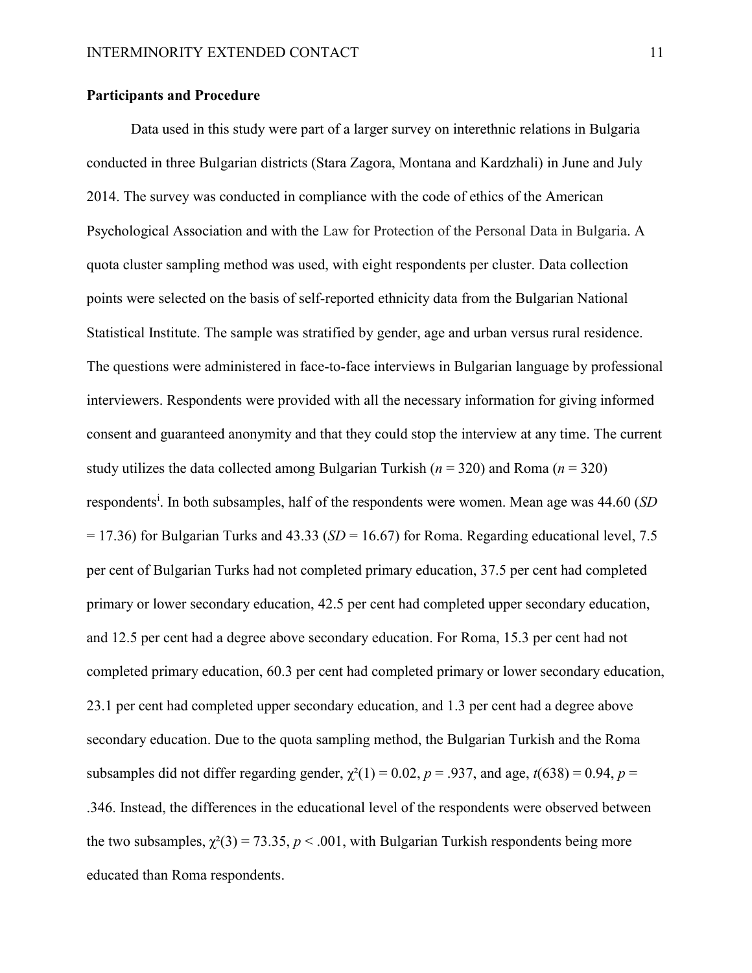## **Participants and Procedure**

Data used in this study were part of a larger survey on interethnic relations in Bulgaria conducted in three Bulgarian districts (Stara Zagora, Montana and Kardzhali) in June and July 2014. The survey was conducted in compliance with the code of ethics of the American Psychological Association and with the Law for Protection of the Personal Data in Bulgaria. A quota cluster sampling method was used, with eight respondents per cluster. Data collection points were selected on the basis of self-reported ethnicity data from the Bulgarian National Statistical Institute. The sample was stratified by gender, age and urban versus rural residence. The questions were administered in face-to-face interviews in Bulgarian language by professional interviewers. Respondents were provided with all the necessary information for giving informed consent and guaranteed anonymity and that they could stop the interview at any time. The current study utilizes the data collected among Bulgarian Turkish (*n* = 320) and Roma (*n* = 320) respondents<sup>i</sup>. In both subsamples, half of the respondents were women. Mean age was 44.60 (*SD*)  $= 17.36$ ) for Bulgarian Turks and 43.33 (*SD* = 16.67) for Roma. Regarding educational level, 7.5 per cent of Bulgarian Turks had not completed primary education, 37.5 per cent had completed primary or lower secondary education, 42.5 per cent had completed upper secondary education, and 12.5 per cent had a degree above secondary education. For Roma, 15.3 per cent had not completed primary education, 60.3 per cent had completed primary or lower secondary education, 23.1 per cent had completed upper secondary education, and 1.3 per cent had a degree above secondary education. Due to the quota sampling method, the Bulgarian Turkish and the Roma subsamples did not differ regarding gender,  $\chi^2(1) = 0.02$ ,  $p = .937$ , and age,  $t(638) = 0.94$ ,  $p =$ .346. Instead, the differences in the educational level of the respondents were observed between the two subsamples,  $\chi^2(3) = 73.35$ ,  $p < .001$ , with Bulgarian Turkish respondents being more educated than Roma respondents.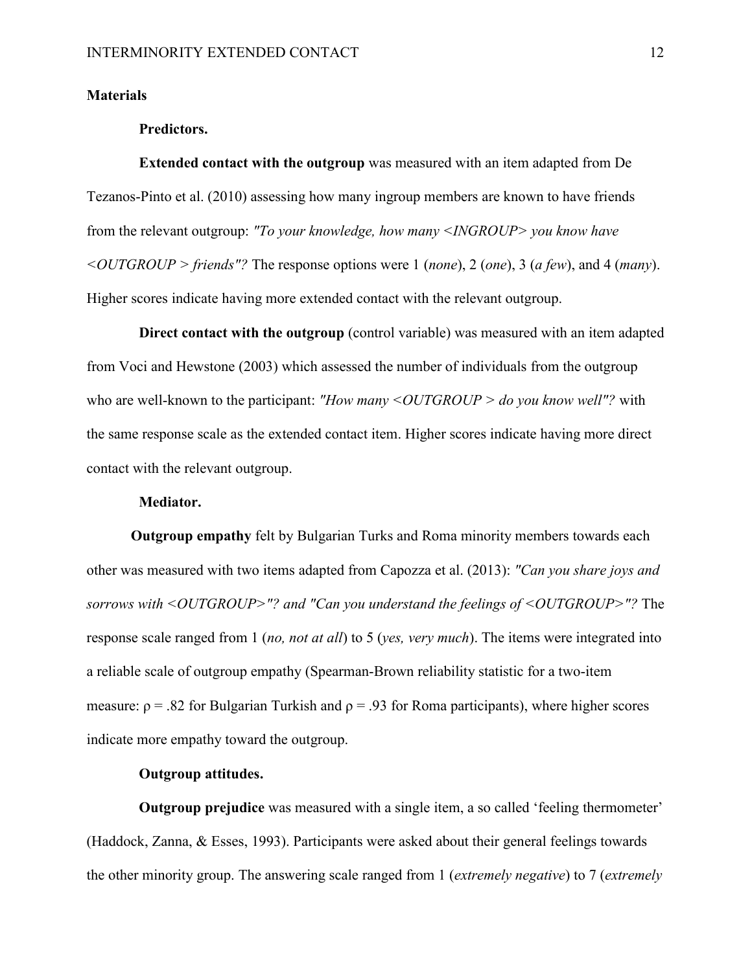## **Materials**

#### **Predictors.**

**Extended contact with the outgroup** was measured with an item adapted from De Tezanos-Pinto et al. (2010) assessing how many ingroup members are known to have friends from the relevant outgroup: *"To your knowledge, how many <INGROUP> you know have <OUTGROUP > friends"?* The response options were 1 (*none*), 2 (*one*), 3 (*a few*), and 4 (*many*). Higher scores indicate having more extended contact with the relevant outgroup.

**Direct contact with the outgroup** (control variable) was measured with an item adapted from Voci and Hewstone (2003) which assessed the number of individuals from the outgroup who are well-known to the participant: "How many <*OUTGROUP > do you know well*"? with the same response scale as the extended contact item. Higher scores indicate having more direct contact with the relevant outgroup.

## **Mediator.**

**Outgroup empathy** felt by Bulgarian Turks and Roma minority members towards each other was measured with two items adapted from Capozza et al. (2013): *"Can you share joys and sorrows with <OUTGROUP>"? and "Can you understand the feelings of <OUTGROUP>"?* The response scale ranged from 1 (*no, not at all*) to 5 (*yes, very much*). The items were integrated into a reliable scale of outgroup empathy (Spearman-Brown reliability statistic for a two-item measure:  $\rho = 0.82$  for Bulgarian Turkish and  $\rho = 0.93$  for Roma participants), where higher scores indicate more empathy toward the outgroup.

## **Outgroup attitudes.**

**Outgroup prejudice** was measured with a single item, a so called 'feeling thermometer' (Haddock, Zanna, & Esses, 1993). Participants were asked about their general feelings towards the other minority group. The answering scale ranged from 1 (*extremely negative*) to 7 (*extremely*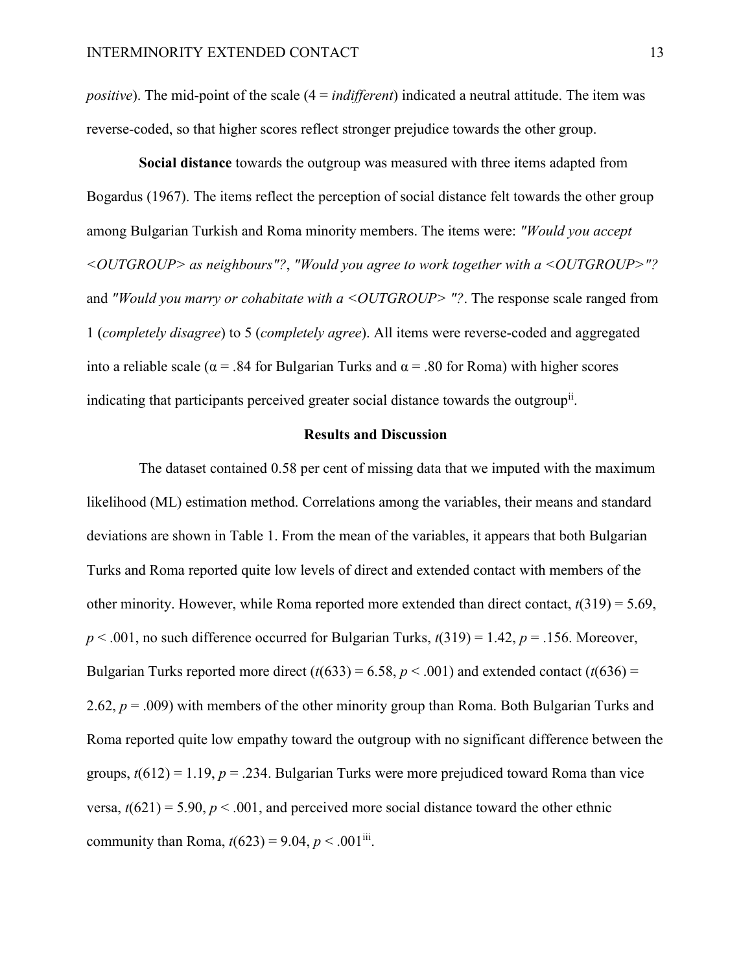*positive*). The mid-point of the scale (4 = *indifferent*) indicated a neutral attitude. The item was reverse-coded, so that higher scores reflect stronger prejudice towards the other group.

**Social distance** towards the outgroup was measured with three items adapted from Bogardus (1967). The items reflect the perception of social distance felt towards the other group among Bulgarian Turkish and Roma minority members. The items were: *"Would you accept <OUTGROUP> as neighbours"?*, *"Would you agree to work together with a <OUTGROUP>"?* and *"Would you marry or cohabitate with a <OUTGROUP>"?*. The response scale ranged from 1 (*completely disagree*) to 5 (*completely agree*). All items were reverse-coded and aggregated into a reliable scale ( $\alpha$  = .84 for Bulgarian Turks and  $\alpha$  = .80 for Roma) with higher scores indicating that participants perceived greater social distance towards the outgroup<sup>ii</sup>.

### **Results and Discussion**

The dataset contained 0.58 per cent of missing data that we imputed with the maximum likelihood (ML) estimation method. Correlations among the variables, their means and standard deviations are shown in Table 1. From the mean of the variables, it appears that both Bulgarian Turks and Roma reported quite low levels of direct and extended contact with members of the other minority. However, while Roma reported more extended than direct contact, *t*(319) = 5.69,  $p < .001$ , no such difference occurred for Bulgarian Turks,  $t(319) = 1.42$ ,  $p = .156$ . Moreover, Bulgarian Turks reported more direct  $(t(633) = 6.58, p < .001)$  and extended contact  $(t(636) =$ 2.62, *p* = .009) with members of the other minority group than Roma. Both Bulgarian Turks and Roma reported quite low empathy toward the outgroup with no significant difference between the groups,  $t(612) = 1.19$ ,  $p = 0.234$ . Bulgarian Turks were more prejudiced toward Roma than vice versa,  $t(621) = 5.90$ ,  $p < .001$ , and perceived more social distance toward the other ethnic community than Roma,  $t(623) = 9.04$ ,  $p < .001$ <sup>iii</sup>.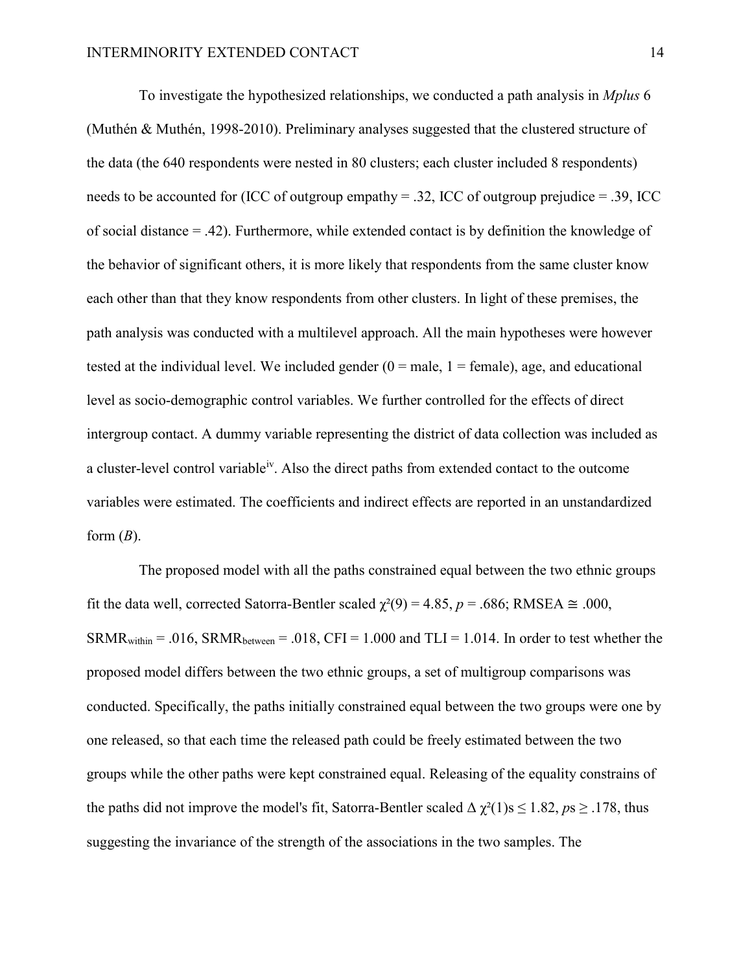To investigate the hypothesized relationships, we conducted a path analysis in *Mplus* 6 (Muthén & Muthén, 1998-2010). Preliminary analyses suggested that the clustered structure of the data (the 640 respondents were nested in 80 clusters; each cluster included 8 respondents) needs to be accounted for (ICC of outgroup empathy = .32, ICC of outgroup prejudice = .39, ICC of social distance  $=$  .42). Furthermore, while extended contact is by definition the knowledge of the behavior of significant others, it is more likely that respondents from the same cluster know each other than that they know respondents from other clusters. In light of these premises, the path analysis was conducted with a multilevel approach. All the main hypotheses were however tested at the individual level. We included gender  $(0 = male, 1 = female)$ , age, and educational level as socio-demographic control variables. We further controlled for the effects of direct intergroup contact. A dummy variable representing the district of data collection was included as a cluster-level control variable<sup>iv</sup>. Also the direct paths from extended contact to the outcome variables were estimated. The coefficients and indirect effects are reported in an unstandardized form  $(B)$ .

The proposed model with all the paths constrained equal between the two ethnic groups fit the data well, corrected Satorra-Bentler scaled  $\chi^2(9) = 4.85$ ,  $p = .686$ ; RMSEA  $\approx .000$ ,  $SRMR_{within} = .016$ ,  $SRMR_{between} = .018$ ,  $CFI = 1.000$  and  $TLI = 1.014$ . In order to test whether the proposed model differs between the two ethnic groups, a set of multigroup comparisons was conducted. Specifically, the paths initially constrained equal between the two groups were one by one released, so that each time the released path could be freely estimated between the two groups while the other paths were kept constrained equal. Releasing of the equality constrains of the paths did not improve the model's fit, Satorra-Bentler scaled  $\Delta \chi^2(1)$ s  $\leq 1.82$ ,  $p_s \geq .178$ , thus suggesting the invariance of the strength of the associations in the two samples. The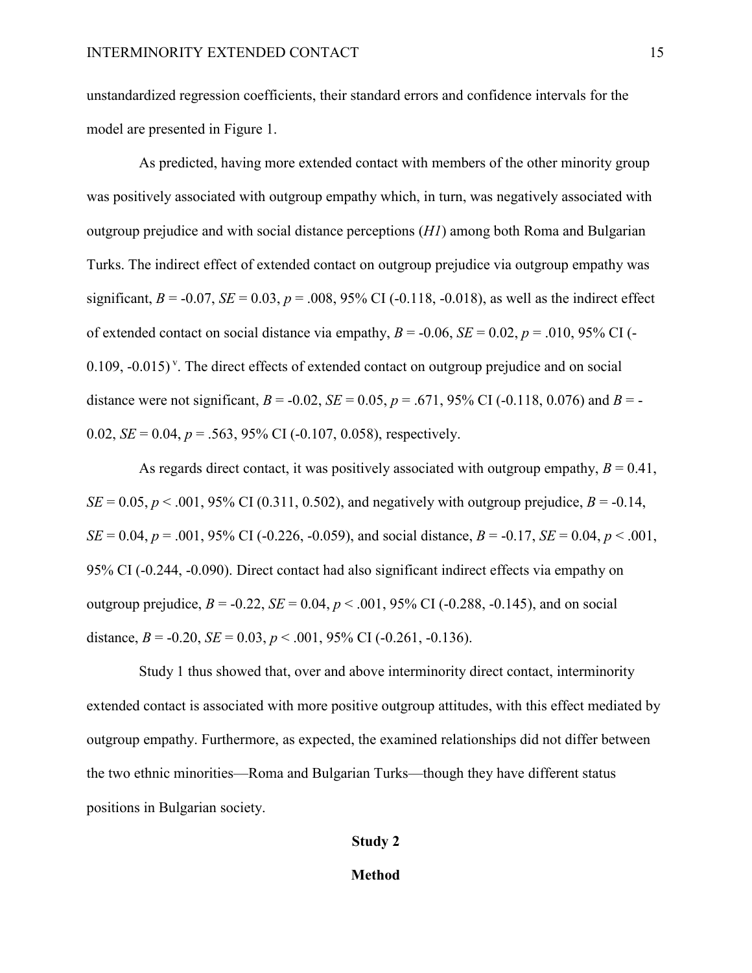unstandardized regression coefficients, their standard errors and confidence intervals for the model are presented in Figure 1.

As predicted, having more extended contact with members of the other minority group was positively associated with outgroup empathy which, in turn, was negatively associated with outgroup prejudice and with social distance perceptions (*H1*) among both Roma and Bulgarian Turks. The indirect effect of extended contact on outgroup prejudice via outgroup empathy was significant,  $B = -0.07$ ,  $SE = 0.03$ ,  $p = .008$ , 95% CI ( $-0.118$ ,  $-0.018$ ), as well as the indirect effect of extended contact on social distance via empathy,  $B = -0.06$ ,  $SE = 0.02$ ,  $p = .010$ , 95% CI (- $0.109$ ,  $-0.015$ )<sup>v</sup>. The direct effects of extended contact on outgroup prejudice and on social distance were not significant,  $B = -0.02$ ,  $SE = 0.05$ ,  $p = .671$ , 95% CI (-0.118, 0.076) and  $B = -0.02$ 0.02,  $SE = 0.04$ ,  $p = 0.563$ , 95% CI (-0.107, 0.058), respectively.

As regards direct contact, it was positively associated with outgroup empathy,  $B = 0.41$ , *SE* = 0.05, *p* < .001, 95% CI (0.311, 0.502), and negatively with outgroup prejudice, *B* = -0.14, *SE* = 0.04, *p* = .001, 95% CI (-0.226, -0.059), and social distance, *B* = -0.17, *SE* = 0.04, *p* < .001, 95% CI (-0.244, -0.090). Direct contact had also significant indirect effects via empathy on outgroup prejudice,  $B = -0.22$ ,  $SE = 0.04$ ,  $p < .001$ , 95% CI ( $-0.288$ ,  $-0.145$ ), and on social distance,  $B = -0.20$ ,  $SE = 0.03$ ,  $p < .001$ , 95% CI ( $-0.261$ ,  $-0.136$ ).

Study 1 thus showed that, over and above interminority direct contact, interminority extended contact is associated with more positive outgroup attitudes, with this effect mediated by outgroup empathy. Furthermore, as expected, the examined relationships did not differ between the two ethnic minorities—Roma and Bulgarian Turks—though they have different status positions in Bulgarian society.

## **Study 2**

#### **Method**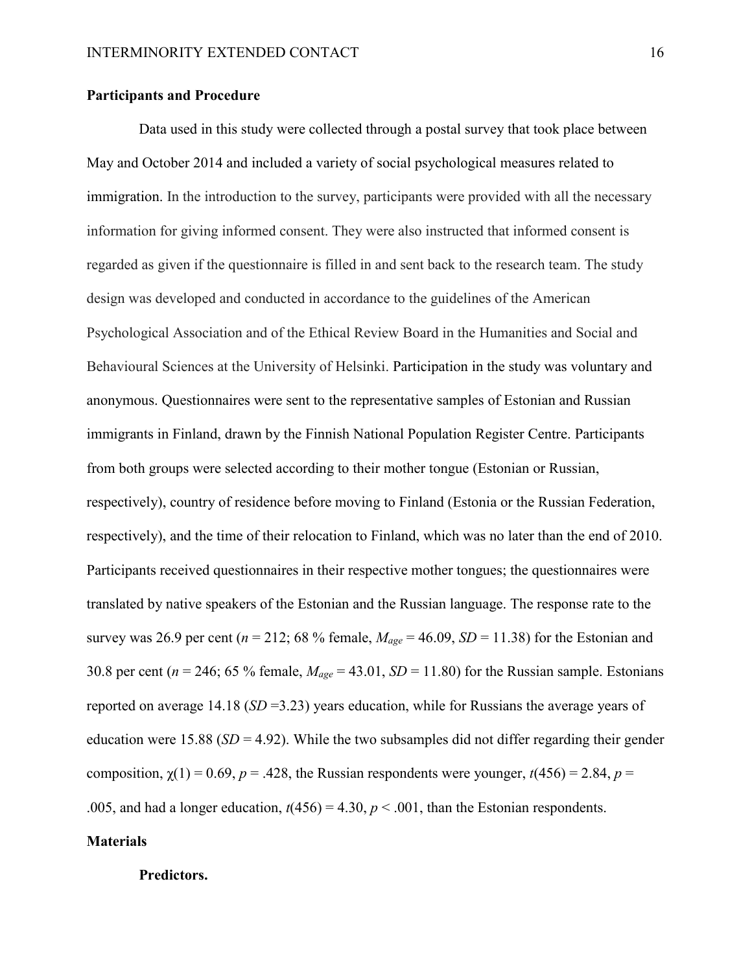## **Participants and Procedure**

Data used in this study were collected through a postal survey that took place between May and October 2014 and included a variety of social psychological measures related to immigration. In the introduction to the survey, participants were provided with all the necessary information for giving informed consent. They were also instructed that informed consent is regarded as given if the questionnaire is filled in and sent back to the research team. The study design was developed and conducted in accordance to the guidelines of the American Psychological Association and of the Ethical Review Board in the Humanities and Social and Behavioural Sciences at the University of Helsinki. Participation in the study was voluntary and anonymous. Questionnaires were sent to the representative samples of Estonian and Russian immigrants in Finland, drawn by the Finnish National Population Register Centre. Participants from both groups were selected according to their mother tongue (Estonian or Russian, respectively), country of residence before moving to Finland (Estonia or the Russian Federation, respectively), and the time of their relocation to Finland, which was no later than the end of 2010. Participants received questionnaires in their respective mother tongues; the questionnaires were translated by native speakers of the Estonian and the Russian language. The response rate to the survey was 26.9 per cent ( $n = 212$ ; 68 % female,  $M_{age} = 46.09$ ,  $SD = 11.38$ ) for the Estonian and 30.8 per cent ( $n = 246$ ; 65 % female,  $M_{age} = 43.01$ ,  $SD = 11.80$ ) for the Russian sample. Estonians reported on average 14.18 (*SD* =3.23) years education, while for Russians the average years of education were 15.88 ( $SD = 4.92$ ). While the two subsamples did not differ regarding their gender composition,  $\chi(1) = 0.69$ ,  $p = .428$ , the Russian respondents were younger,  $t(456) = 2.84$ ,  $p =$ .005, and had a longer education,  $t(456) = 4.30$ ,  $p < .001$ , than the Estonian respondents.

# **Materials**

## **Predictors.**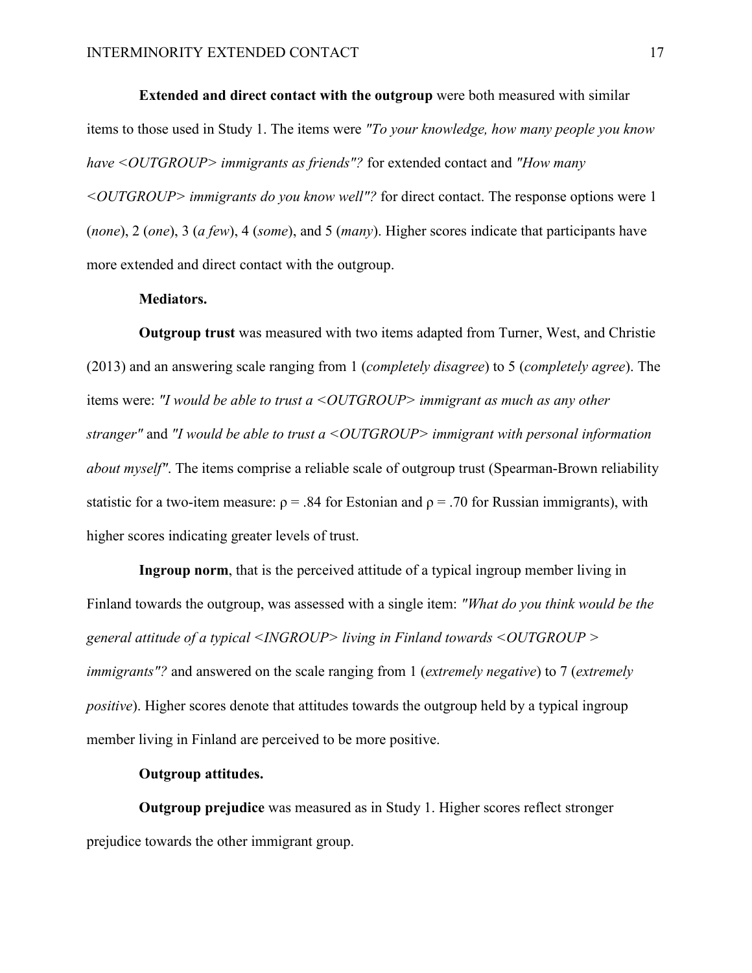**Extended and direct contact with the outgroup** were both measured with similar items to those used in Study 1. The items were *"To your knowledge, how many people you know have <OUTGROUP> immigrants as friends"?* for extended contact and *"How many <OUTGROUP> immigrants do you know well"?* for direct contact. The response options were 1 (*none*), 2 (*one*), 3 (*a few*), 4 (*some*), and 5 (*many*). Higher scores indicate that participants have more extended and direct contact with the outgroup.

### **Mediators.**

**Outgroup trust** was measured with two items adapted from Turner, West, and Christie (2013) and an answering scale ranging from 1 (*completely disagree*) to 5 (*completely agree*). The items were: *"I would be able to trust a <OUTGROUP> immigrant as much as any other stranger"* and *"I would be able to trust a <OUTGROUP> immigrant with personal information about myself"*. The items comprise a reliable scale of outgroup trust (Spearman-Brown reliability statistic for a two-item measure:  $\rho = .84$  for Estonian and  $\rho = .70$  for Russian immigrants), with higher scores indicating greater levels of trust.

**Ingroup norm**, that is the perceived attitude of a typical ingroup member living in Finland towards the outgroup, was assessed with a single item: *"What do you think would be the general attitude of a typical <INGROUP> living in Finland towards <OUTGROUP > immigrants"?* and answered on the scale ranging from 1 (*extremely negative*) to 7 (*extremely positive*). Higher scores denote that attitudes towards the outgroup held by a typical ingroup member living in Finland are perceived to be more positive.

## **Outgroup attitudes.**

**Outgroup prejudice** was measured as in Study 1. Higher scores reflect stronger prejudice towards the other immigrant group.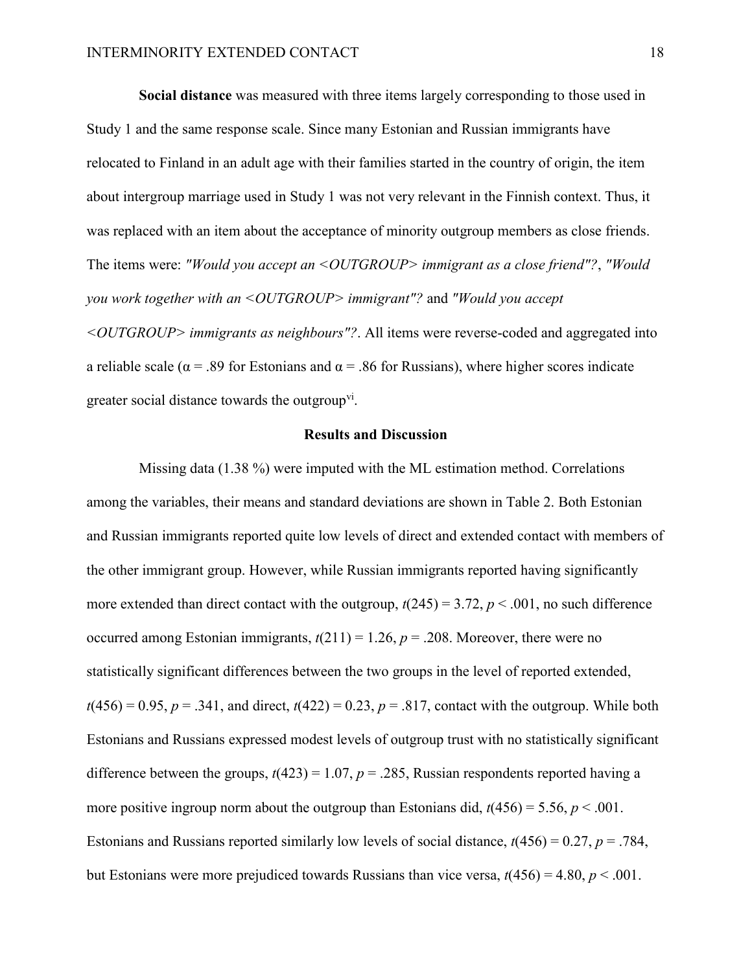**Social distance** was measured with three items largely corresponding to those used in Study 1 and the same response scale. Since many Estonian and Russian immigrants have relocated to Finland in an adult age with their families started in the country of origin, the item about intergroup marriage used in Study 1 was not very relevant in the Finnish context. Thus, it was replaced with an item about the acceptance of minority outgroup members as close friends. The items were: *"Would you accept an <OUTGROUP> immigrant as a close friend"?*, *"Would you work together with an <OUTGROUP> immigrant"?* and *"Would you accept <OUTGROUP> immigrants as neighbours"?*. All items were reverse-coded and aggregated into a reliable scale ( $\alpha$  = .89 for Estonians and  $\alpha$  = .86 for Russians), where higher scores indicate greater social distance towards the outgroup<sup>vi</sup>.

### **Results and Discussion**

Missing data (1.38 %) were imputed with the ML estimation method. Correlations among the variables, their means and standard deviations are shown in Table 2. Both Estonian and Russian immigrants reported quite low levels of direct and extended contact with members of the other immigrant group. However, while Russian immigrants reported having significantly more extended than direct contact with the outgroup,  $t(245) = 3.72$ ,  $p < .001$ , no such difference occurred among Estonian immigrants,  $t(211) = 1.26$ ,  $p = .208$ . Moreover, there were no statistically significant differences between the two groups in the level of reported extended,  $t(456) = 0.95$ ,  $p = .341$ , and direct,  $t(422) = 0.23$ ,  $p = .817$ , contact with the outgroup. While both Estonians and Russians expressed modest levels of outgroup trust with no statistically significant difference between the groups,  $t(423) = 1.07$ ,  $p = .285$ , Russian respondents reported having a more positive ingroup norm about the outgroup than Estonians did,  $t(456) = 5.56$ ,  $p < .001$ . Estonians and Russians reported similarly low levels of social distance, *t*(456) = 0.27, *p* = .784, but Estonians were more prejudiced towards Russians than vice versa,  $t(456) = 4.80$ ,  $p < .001$ .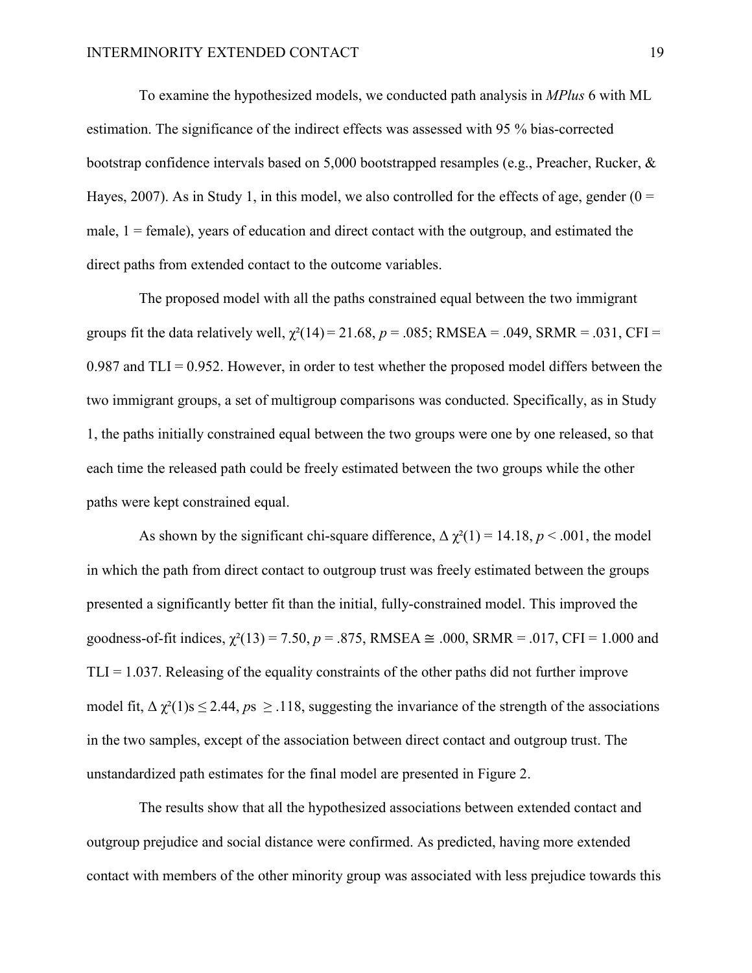To examine the hypothesized models, we conducted path analysis in *MPlus* 6 with ML estimation. The significance of the indirect effects was assessed with 95 % bias-corrected bootstrap confidence intervals based on 5,000 bootstrapped resamples (e.g., Preacher, Rucker, & Hayes, 2007). As in Study 1, in this model, we also controlled for the effects of age, gender  $(0 =$ male,  $1 =$  female), years of education and direct contact with the outgroup, and estimated the direct paths from extended contact to the outcome variables.

The proposed model with all the paths constrained equal between the two immigrant groups fit the data relatively well,  $\chi^2(14) = 21.68$ ,  $p = .085$ ; RMSEA = .049, SRMR = .031, CFI = 0.987 and  $TLI = 0.952$ . However, in order to test whether the proposed model differs between the two immigrant groups, a set of multigroup comparisons was conducted. Specifically, as in Study 1, the paths initially constrained equal between the two groups were one by one released, so that each time the released path could be freely estimated between the two groups while the other paths were kept constrained equal.

As shown by the significant chi-square difference,  $\Delta \chi^2(1) = 14.18$ ,  $p < .001$ , the model in which the path from direct contact to outgroup trust was freely estimated between the groups presented a significantly better fit than the initial, fully-constrained model. This improved the goodness-of-fit indices,  $\gamma^2(13) = 7.50$ ,  $p = .875$ , RMSEA  $\cong .000$ , SRMR = .017, CFI = 1.000 and  $TLI = 1.037$ . Releasing of the equality constraints of the other paths did not further improve model fit,  $\Delta \chi^2(1)$ s  $\leq$  2.44,  $p_s \geq$  118, suggesting the invariance of the strength of the associations in the two samples, except of the association between direct contact and outgroup trust. The unstandardized path estimates for the final model are presented in Figure 2.

The results show that all the hypothesized associations between extended contact and outgroup prejudice and social distance were confirmed. As predicted, having more extended contact with members of the other minority group was associated with less prejudice towards this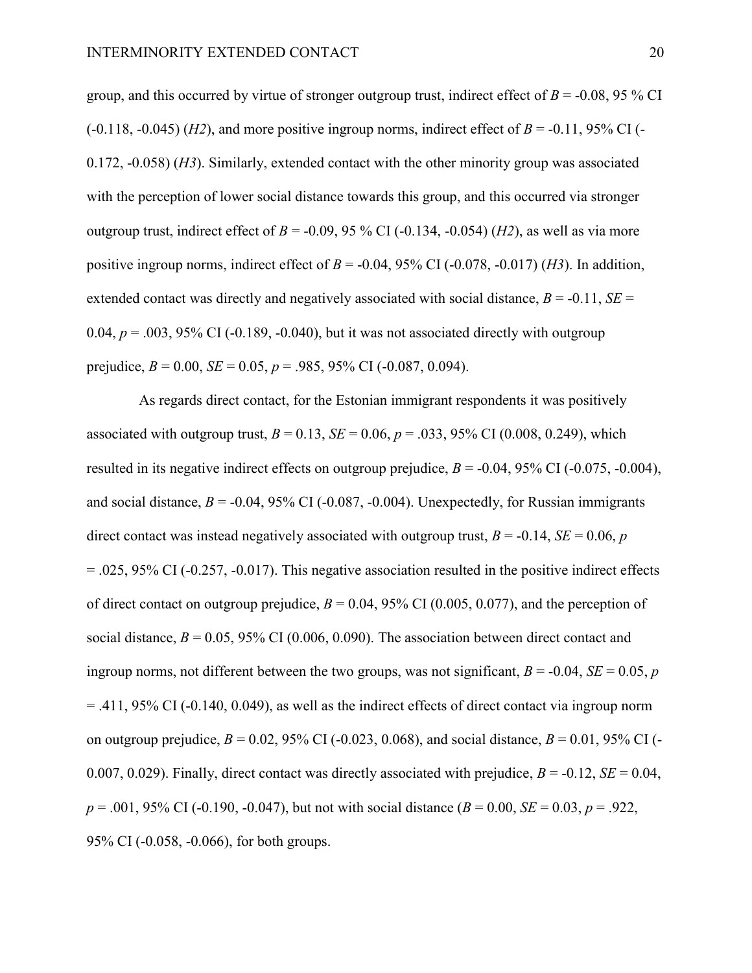group, and this occurred by virtue of stronger outgroup trust, indirect effect of  $B = -0.08$ , 95 % CI  $(-0.118, -0.045)$  (*H2*), and more positive ingroup norms, indirect effect of *B* = -0.11, 95% CI (-0.172, -0.058) (*H3*). Similarly, extended contact with the other minority group was associated with the perception of lower social distance towards this group, and this occurred via stronger outgroup trust, indirect effect of  $B = -0.09$ , 95 % CI (-0.134, -0.054) (*H2*), as well as via more positive ingroup norms, indirect effect of  $B = -0.04$ , 95% CI ( $-0.078$ ,  $-0.017$ ) (*H3*). In addition, extended contact was directly and negatively associated with social distance,  $B = -0.11$ ,  $SE =$ 0.04,  $p = 0.03$ , 95% CI (-0.189, -0.040), but it was not associated directly with outgroup prejudice,  $B = 0.00$ ,  $SE = 0.05$ ,  $p = .985$ , 95% CI (-0.087, 0.094).

As regards direct contact, for the Estonian immigrant respondents it was positively associated with outgroup trust,  $B = 0.13$ ,  $SE = 0.06$ ,  $p = .033$ , 95% CI (0.008, 0.249), which resulted in its negative indirect effects on outgroup prejudice,  $B = -0.04$ , 95% CI ( $-0.075$ ,  $-0.004$ ), and social distance,  $B = -0.04$ , 95% CI ( $-0.087$ ,  $-0.004$ ). Unexpectedly, for Russian immigrants direct contact was instead negatively associated with outgroup trust,  $B = -0.14$ ,  $SE = 0.06$ , *p*  $= .025, 95\%$  CI (-0.257, -0.017). This negative association resulted in the positive indirect effects of direct contact on outgroup prejudice,  $B = 0.04$ , 95% CI (0.005, 0.077), and the perception of social distance,  $B = 0.05$ , 95% CI (0.006, 0.090). The association between direct contact and ingroup norms, not different between the two groups, was not significant,  $B = -0.04$ ,  $SE = 0.05$ , *p* = .411, 95% CI (-0.140, 0.049), as well as the indirect effects of direct contact via ingroup norm on outgroup prejudice,  $B = 0.02$ , 95% CI (-0.023, 0.068), and social distance,  $B = 0.01$ , 95% CI (-0.007, 0.029). Finally, direct contact was directly associated with prejudice,  $B = -0.12$ ,  $SE = 0.04$ ,  $p = .001, 95\%$  CI (-0.190, -0.047), but not with social distance ( $B = 0.00$ ,  $SE = 0.03$ ,  $p = .922$ , 95% CI (-0.058, -0.066), for both groups.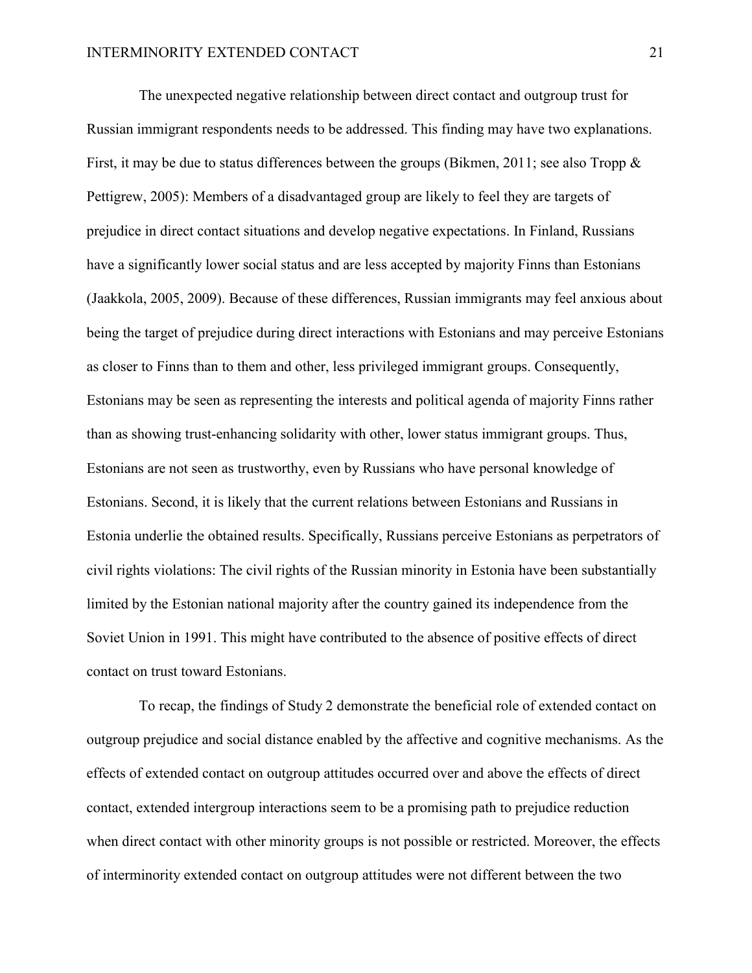The unexpected negative relationship between direct contact and outgroup trust for Russian immigrant respondents needs to be addressed. This finding may have two explanations. First, it may be due to status differences between the groups (Bikmen, 2011; see also Tropp  $\&$ Pettigrew, 2005): Members of a disadvantaged group are likely to feel they are targets of prejudice in direct contact situations and develop negative expectations. In Finland, Russians have a significantly lower social status and are less accepted by majority Finns than Estonians (Jaakkola, 2005, 2009). Because of these differences, Russian immigrants may feel anxious about being the target of prejudice during direct interactions with Estonians and may perceive Estonians as closer to Finns than to them and other, less privileged immigrant groups. Consequently, Estonians may be seen as representing the interests and political agenda of majority Finns rather than as showing trust-enhancing solidarity with other, lower status immigrant groups. Thus, Estonians are not seen as trustworthy, even by Russians who have personal knowledge of Estonians. Second, it is likely that the current relations between Estonians and Russians in Estonia underlie the obtained results. Specifically, Russians perceive Estonians as perpetrators of civil rights violations: The civil rights of the Russian minority in Estonia have been substantially limited by the Estonian national majority after the country gained its independence from the Soviet Union in 1991. This might have contributed to the absence of positive effects of direct contact on trust toward Estonians.

To recap, the findings of Study 2 demonstrate the beneficial role of extended contact on outgroup prejudice and social distance enabled by the affective and cognitive mechanisms. As the effects of extended contact on outgroup attitudes occurred over and above the effects of direct contact, extended intergroup interactions seem to be a promising path to prejudice reduction when direct contact with other minority groups is not possible or restricted. Moreover, the effects of interminority extended contact on outgroup attitudes were not different between the two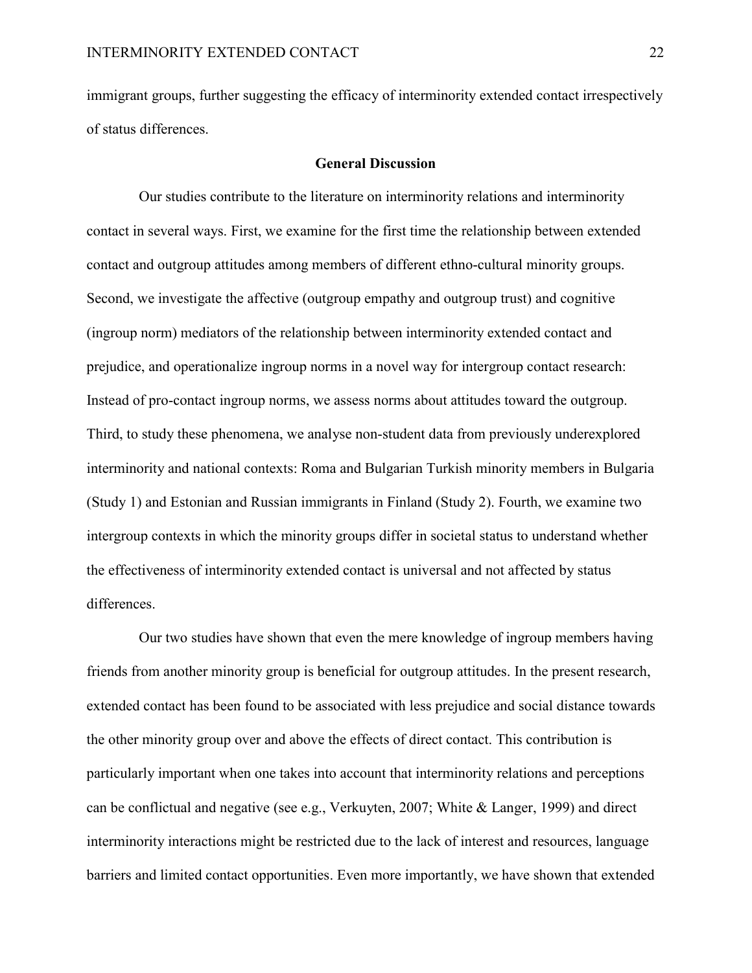immigrant groups, further suggesting the efficacy of interminority extended contact irrespectively of status differences.

## **General Discussion**

Our studies contribute to the literature on interminority relations and interminority contact in several ways. First, we examine for the first time the relationship between extended contact and outgroup attitudes among members of different ethno-cultural minority groups. Second, we investigate the affective (outgroup empathy and outgroup trust) and cognitive (ingroup norm) mediators of the relationship between interminority extended contact and prejudice, and operationalize ingroup norms in a novel way for intergroup contact research: Instead of pro-contact ingroup norms, we assess norms about attitudes toward the outgroup. Third, to study these phenomena, we analyse non-student data from previously underexplored interminority and national contexts: Roma and Bulgarian Turkish minority members in Bulgaria (Study 1) and Estonian and Russian immigrants in Finland (Study 2). Fourth, we examine two intergroup contexts in which the minority groups differ in societal status to understand whether the effectiveness of interminority extended contact is universal and not affected by status differences.

Our two studies have shown that even the mere knowledge of ingroup members having friends from another minority group is beneficial for outgroup attitudes. In the present research, extended contact has been found to be associated with less prejudice and social distance towards the other minority group over and above the effects of direct contact. This contribution is particularly important when one takes into account that interminority relations and perceptions can be conflictual and negative (see e.g., Verkuyten, 2007; White & Langer, 1999) and direct interminority interactions might be restricted due to the lack of interest and resources, language barriers and limited contact opportunities. Even more importantly, we have shown that extended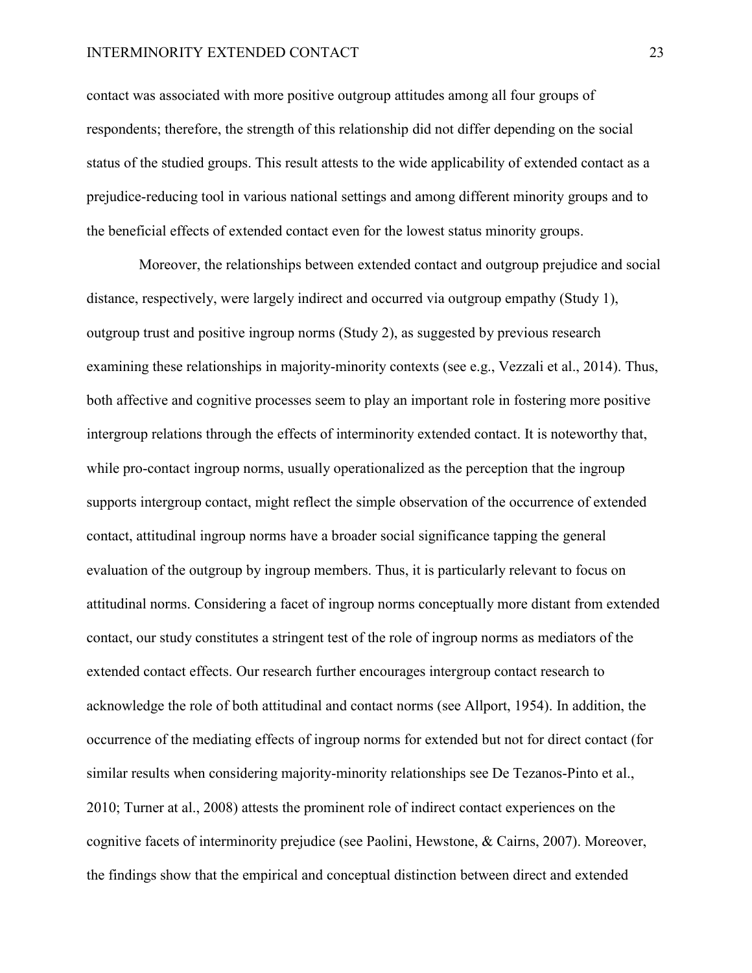#### INTERMINORITY EXTENDED CONTACT 23

contact was associated with more positive outgroup attitudes among all four groups of respondents; therefore, the strength of this relationship did not differ depending on the social status of the studied groups. This result attests to the wide applicability of extended contact as a prejudice-reducing tool in various national settings and among different minority groups and to the beneficial effects of extended contact even for the lowest status minority groups.

Moreover, the relationships between extended contact and outgroup prejudice and social distance, respectively, were largely indirect and occurred via outgroup empathy (Study 1), outgroup trust and positive ingroup norms (Study 2), as suggested by previous research examining these relationships in majority-minority contexts (see e.g., Vezzali et al., 2014). Thus, both affective and cognitive processes seem to play an important role in fostering more positive intergroup relations through the effects of interminority extended contact. It is noteworthy that, while pro-contact ingroup norms, usually operationalized as the perception that the ingroup supports intergroup contact, might reflect the simple observation of the occurrence of extended contact, attitudinal ingroup norms have a broader social significance tapping the general evaluation of the outgroup by ingroup members. Thus, it is particularly relevant to focus on attitudinal norms. Considering a facet of ingroup norms conceptually more distant from extended contact, our study constitutes a stringent test of the role of ingroup norms as mediators of the extended contact effects. Our research further encourages intergroup contact research to acknowledge the role of both attitudinal and contact norms (see Allport, 1954). In addition, the occurrence of the mediating effects of ingroup norms for extended but not for direct contact (for similar results when considering majority-minority relationships see De Tezanos-Pinto et al., 2010; Turner at al., 2008) attests the prominent role of indirect contact experiences on the cognitive facets of interminority prejudice (see Paolini, Hewstone, & Cairns, 2007). Moreover, the findings show that the empirical and conceptual distinction between direct and extended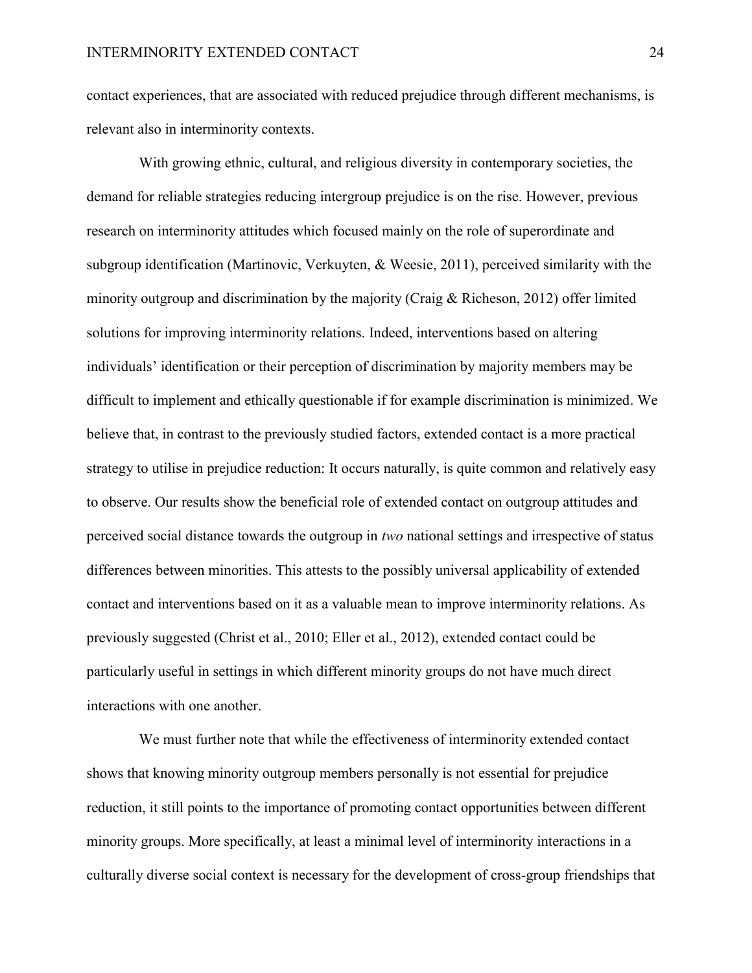contact experiences, that are associated with reduced prejudice through different mechanisms, is relevant also in interminority contexts.

With growing ethnic, cultural, and religious diversity in contemporary societies, the demand for reliable strategies reducing intergroup prejudice is on the rise. However, previous research on interminority attitudes which focused mainly on the role of superordinate and subgroup identification (Martinovic, Verkuyten, & Weesie, 2011), perceived similarity with the minority outgroup and discrimination by the majority (Craig & Richeson, 2012) offer limited solutions for improving interminority relations. Indeed, interventions based on altering individuals' identification or their perception of discrimination by majority members may be difficult to implement and ethically questionable if for example discrimination is minimized. We believe that, in contrast to the previously studied factors, extended contact is a more practical strategy to utilise in prejudice reduction: It occurs naturally, is quite common and relatively easy to observe. Our results show the beneficial role of extended contact on outgroup attitudes and perceived social distance towards the outgroup in *two* national settings and irrespective of status differences between minorities. This attests to the possibly universal applicability of extended contact and interventions based on it as a valuable mean to improve interminority relations. As previously suggested (Christ et al., 2010; Eller et al., 2012), extended contact could be particularly useful in settings in which different minority groups do not have much direct interactions with one another.

We must further note that while the effectiveness of interminority extended contact shows that knowing minority outgroup members personally is not essential for prejudice reduction, it still points to the importance of promoting contact opportunities between different minority groups. More specifically, at least a minimal level of interminority interactions in a culturally diverse social context is necessary for the development of cross-group friendships that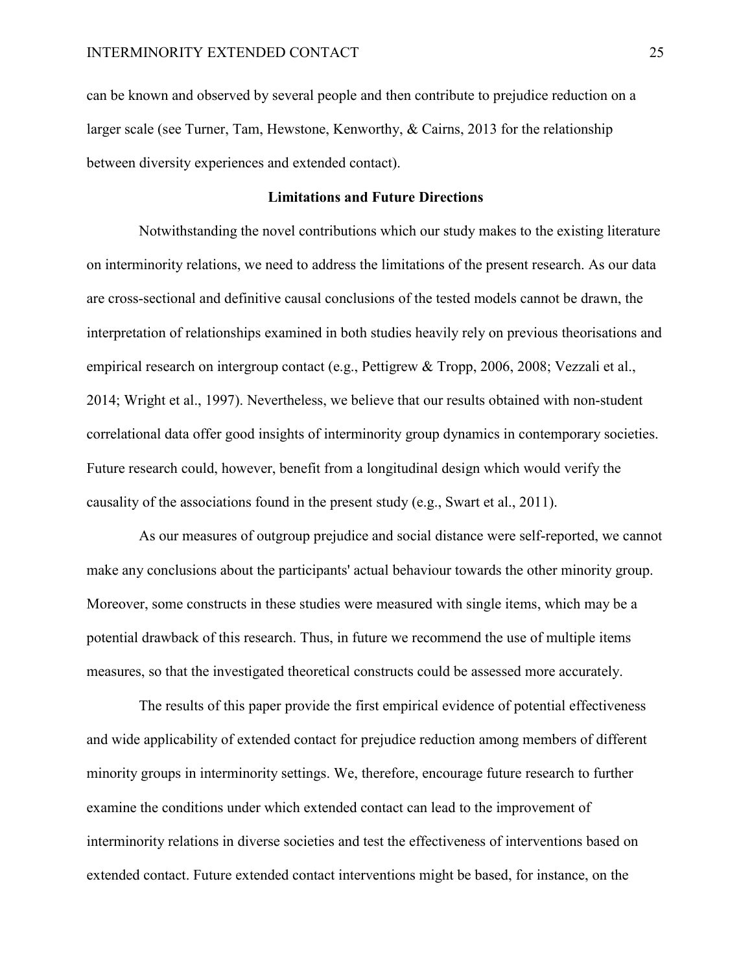can be known and observed by several people and then contribute to prejudice reduction on a larger scale (see Turner, Tam, Hewstone, Kenworthy, & Cairns, 2013 for the relationship between diversity experiences and extended contact).

## **Limitations and Future Directions**

Notwithstanding the novel contributions which our study makes to the existing literature on interminority relations, we need to address the limitations of the present research. As our data are cross-sectional and definitive causal conclusions of the tested models cannot be drawn, the interpretation of relationships examined in both studies heavily rely on previous theorisations and empirical research on intergroup contact (e.g., Pettigrew & Tropp, 2006, 2008; Vezzali et al., 2014; Wright et al., 1997). Nevertheless, we believe that our results obtained with non-student correlational data offer good insights of interminority group dynamics in contemporary societies. Future research could, however, benefit from a longitudinal design which would verify the causality of the associations found in the present study (e.g., Swart et al., 2011).

As our measures of outgroup prejudice and social distance were self-reported, we cannot make any conclusions about the participants' actual behaviour towards the other minority group. Moreover, some constructs in these studies were measured with single items, which may be a potential drawback of this research. Thus, in future we recommend the use of multiple items measures, so that the investigated theoretical constructs could be assessed more accurately.

The results of this paper provide the first empirical evidence of potential effectiveness and wide applicability of extended contact for prejudice reduction among members of different minority groups in interminority settings. We, therefore, encourage future research to further examine the conditions under which extended contact can lead to the improvement of interminority relations in diverse societies and test the effectiveness of interventions based on extended contact. Future extended contact interventions might be based, for instance, on the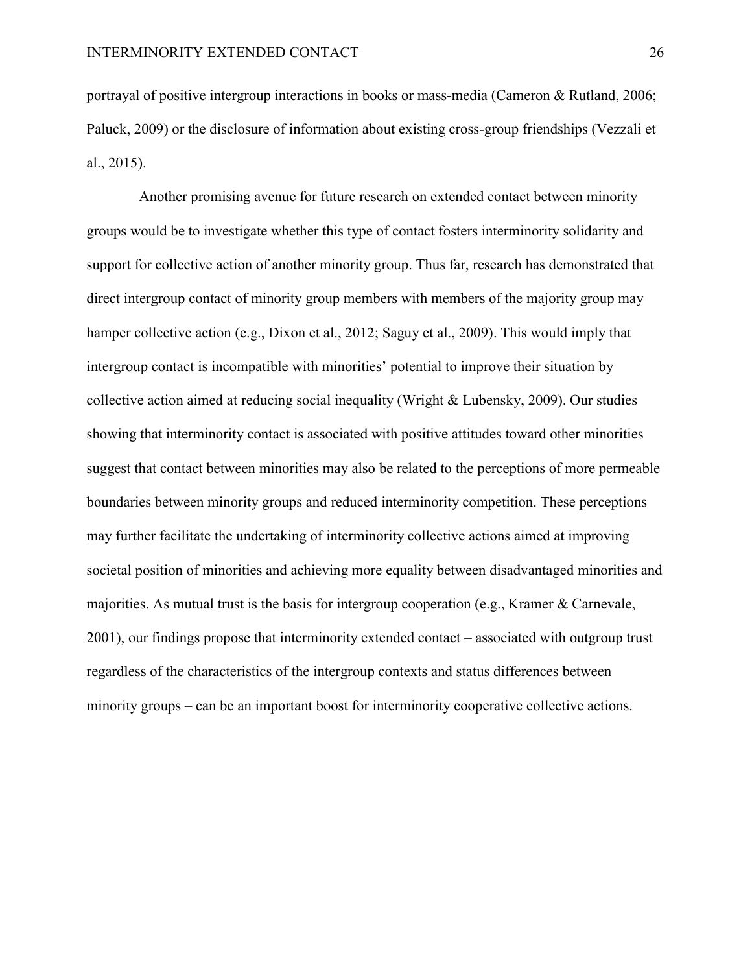portrayal of positive intergroup interactions in books or mass-media (Cameron & Rutland, 2006; Paluck, 2009) or the disclosure of information about existing cross-group friendships (Vezzali et al., 2015).

Another promising avenue for future research on extended contact between minority groups would be to investigate whether this type of contact fosters interminority solidarity and support for collective action of another minority group. Thus far, research has demonstrated that direct intergroup contact of minority group members with members of the majority group may hamper collective action (e.g., Dixon et al., 2012; Saguy et al., 2009). This would imply that intergroup contact is incompatible with minorities' potential to improve their situation by collective action aimed at reducing social inequality (Wright & Lubensky, 2009). Our studies showing that interminority contact is associated with positive attitudes toward other minorities suggest that contact between minorities may also be related to the perceptions of more permeable boundaries between minority groups and reduced interminority competition. These perceptions may further facilitate the undertaking of interminority collective actions aimed at improving societal position of minorities and achieving more equality between disadvantaged minorities and majorities. As mutual trust is the basis for intergroup cooperation (e.g., Kramer & Carnevale, 2001), our findings propose that interminority extended contact – associated with outgroup trust regardless of the characteristics of the intergroup contexts and status differences between minority groups – can be an important boost for interminority cooperative collective actions.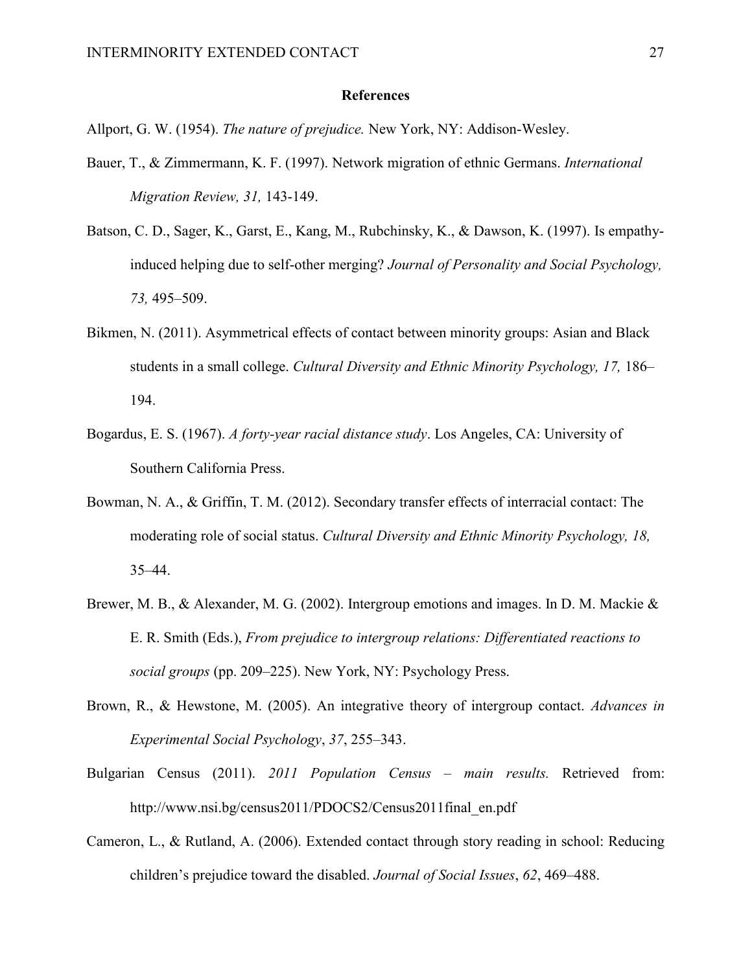## **References**

Allport, G. W. (1954). *The nature of prejudice.* New York, NY: Addison-Wesley.

- Bauer, T., & Zimmermann, K. F. (1997). Network migration of ethnic Germans. *International Migration Review, 31,* 143-149.
- Batson, C. D., Sager, K., Garst, E., Kang, M., Rubchinsky, K., & Dawson, K. (1997). Is empathyinduced helping due to self-other merging? *Journal of Personality and Social Psychology, 73,* 495–509.
- Bikmen, N. (2011). Asymmetrical effects of contact between minority groups: Asian and Black students in a small college. *Cultural Diversity and Ethnic Minority Psychology, 17,* 186– 194.
- Bogardus, E. S. (1967). *A forty-year racial distance study*. Los Angeles, CA: University of Southern California Press.
- Bowman, N. A., & Griffin, T. M. (2012). Secondary transfer effects of interracial contact: The moderating role of social status. *Cultural Diversity and Ethnic Minority Psychology, 18,* 35–44.
- Brewer, M. B., & Alexander, M. G. (2002). Intergroup emotions and images. In D. M. Mackie & E. R. Smith (Eds.), *From prejudice to intergroup relations: Differentiated reactions to social groups* (pp. 209–225). New York, NY: Psychology Press.
- Brown, R., & Hewstone, M. (2005). An integrative theory of intergroup contact. *Advances in Experimental Social Psychology*, *37*, 255–343.
- Bulgarian Census (2011). *2011 Population Census – main results.* Retrieved from: http://www.nsi.bg/census2011/PDOCS2/Census2011final\_en.pdf
- Cameron, L., & Rutland, A. (2006). Extended contact through story reading in school: Reducing children's prejudice toward the disabled. *Journal of Social Issues*, *62*, 469–488.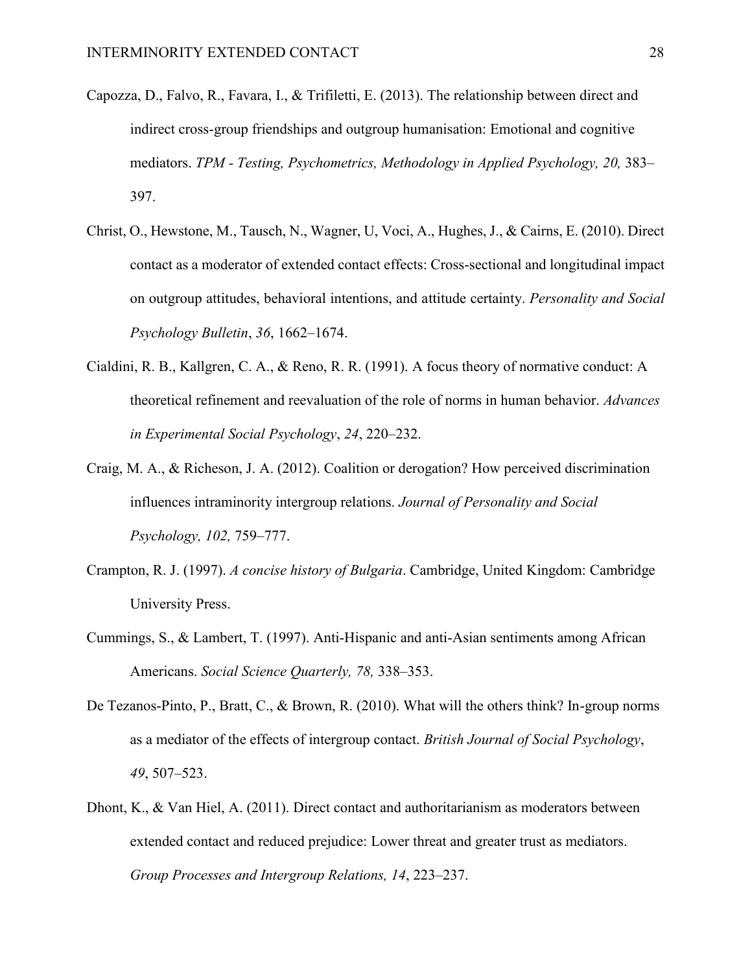- Capozza, D., Falvo, R., Favara, I., & Trifiletti, E. (2013). The relationship between direct and indirect cross-group friendships and outgroup humanisation: Emotional and cognitive mediators. *TPM - Testing, Psychometrics, Methodology in Applied Psychology, 20,* 383– 397.
- Christ, O., Hewstone, M., Tausch, N., Wagner, U, Voci, A., Hughes, J., & Cairns, E. (2010). Direct contact as a moderator of extended contact effects: Cross-sectional and longitudinal impact on outgroup attitudes, behavioral intentions, and attitude certainty. *Personality and Social Psychology Bulletin*, *36*, 1662–1674.
- Cialdini, R. B., Kallgren, C. A., & Reno, R. R. (1991). A focus theory of normative conduct: A theoretical refinement and reevaluation of the role of norms in human behavior. *Advances in Experimental Social Psychology*, *24*, 220–232.
- Craig, M. A., & Richeson, J. A. (2012). Coalition or derogation? How perceived discrimination influences intraminority intergroup relations. *Journal of Personality and Social Psychology, 102,* 759–777.
- Crampton, R. J. (1997). *A concise history of Bulgaria*. Cambridge, United Kingdom: Cambridge University Press.
- Cummings, S., & Lambert, T. (1997). Anti-Hispanic and anti-Asian sentiments among African Americans. *Social Science Quarterly, 78,* 338–353.
- De Tezanos-Pinto, P., Bratt, C., & Brown, R. (2010). What will the others think? In-group norms as a mediator of the effects of intergroup contact. *British Journal of Social Psychology*, *49*, 507–523.
- Dhont, K., & Van Hiel, A. (2011). Direct contact and authoritarianism as moderators between extended contact and reduced prejudice: Lower threat and greater trust as mediators. *Group Processes and Intergroup Relations, 14*, 223–237.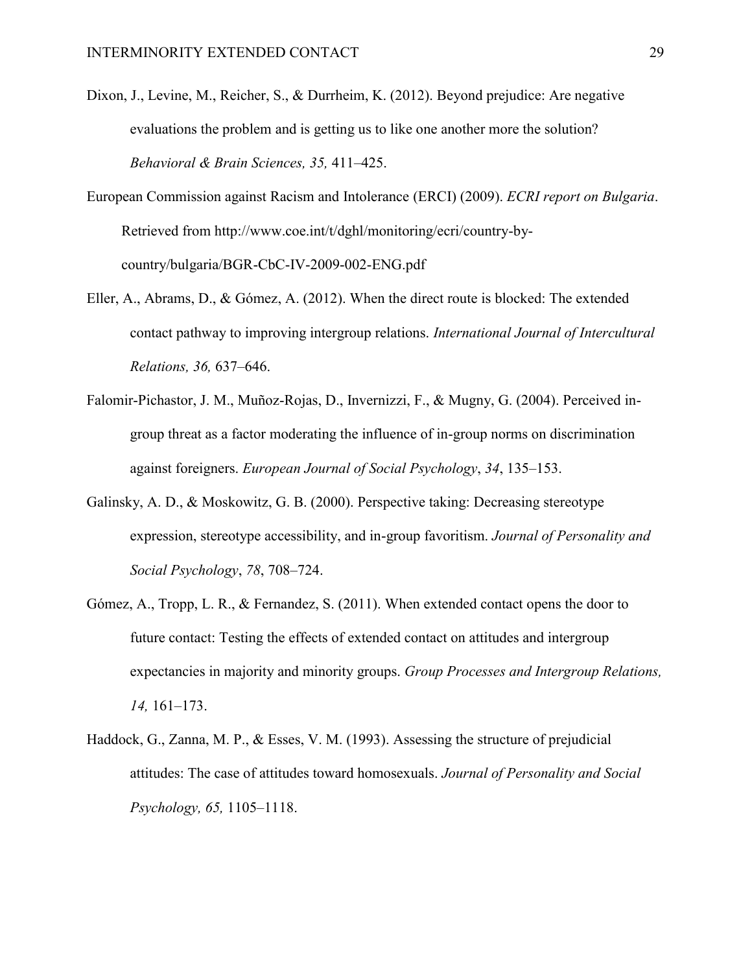- Dixon, J., Levine, M., Reicher, S., & Durrheim, K. (2012). Beyond prejudice: Are negative evaluations the problem and is getting us to like one another more the solution? *Behavioral & Brain Sciences, 35,* 411–425.
- European Commission against Racism and Intolerance (ERCI) (2009). *ECRI report on Bulgaria*. Retrieved from http://www.coe.int/t/dghl/monitoring/ecri/country-bycountry/bulgaria/BGR-CbC-IV-2009-002-ENG.pdf
- Eller, A., Abrams, D., & Gómez, A. (2012). When the direct route is blocked: The extended contact pathway to improving intergroup relations. *International Journal of Intercultural Relations, 36,* 637–646.
- Falomir-Pichastor, J. M., Muñoz-Rojas, D., Invernizzi, F., & Mugny, G. (2004). Perceived ingroup threat as a factor moderating the influence of in-group norms on discrimination against foreigners. *European Journal of Social Psychology*, *34*, 135–153.
- Galinsky, A. D., & Moskowitz, G. B. (2000). Perspective taking: Decreasing stereotype expression, stereotype accessibility, and in-group favoritism. *Journal of Personality and Social Psychology*, *78*, 708–724.
- Gómez, A., Tropp, L. R., & Fernandez, S. (2011). When extended contact opens the door to future contact: Testing the effects of extended contact on attitudes and intergroup expectancies in majority and minority groups. *Group Processes and Intergroup Relations, 14,* 161–173.
- Haddock, G., Zanna, M. P., & Esses, V. M. (1993). Assessing the structure of prejudicial attitudes: The case of attitudes toward homosexuals. *Journal of Personality and Social Psychology, 65,* 1105–1118.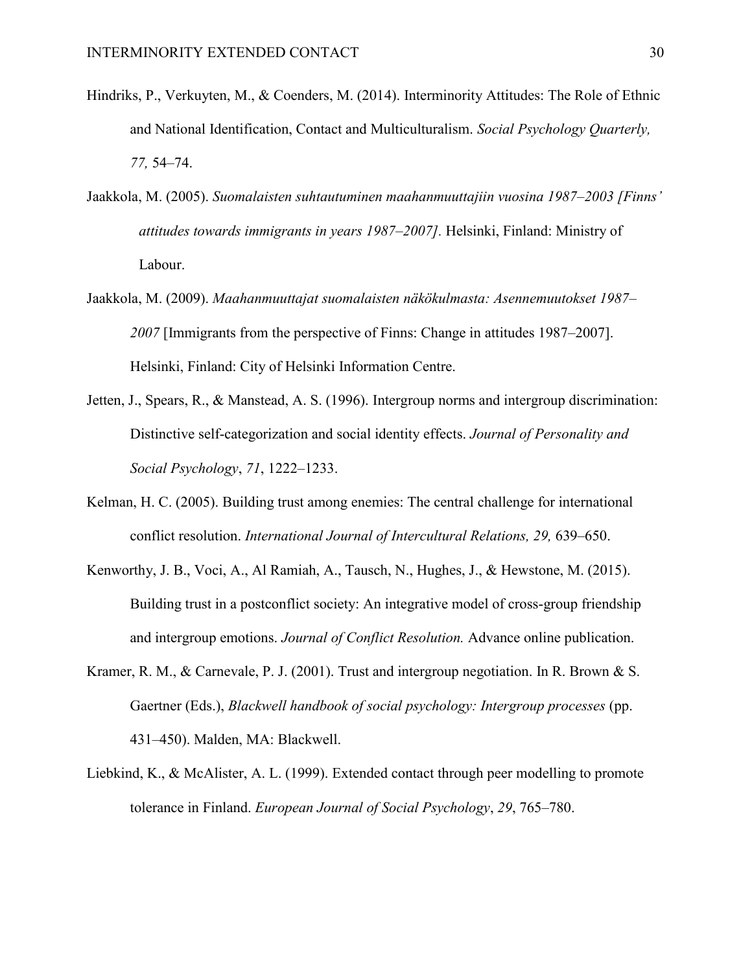- Hindriks, P., Verkuyten, M., & Coenders, M. (2014). Interminority Attitudes: The Role of Ethnic and National Identification, Contact and Multiculturalism. *Social Psychology Quarterly, 77,* 54–74.
- Jaakkola, M. (2005). *Suomalaisten suhtautuminen maahanmuuttajiin vuosina 1987–2003 [Finns' attitudes towards immigrants in years 1987–2007].* Helsinki, Finland: Ministry of Labour.
- Jaakkola, M. (2009). *Maahanmuuttajat suomalaisten näkökulmasta: Asennemuutokset 1987– 2007* [Immigrants from the perspective of Finns: Change in attitudes 1987–2007]. Helsinki, Finland: City of Helsinki Information Centre.
- Jetten, J., Spears, R., & Manstead, A. S. (1996). Intergroup norms and intergroup discrimination: Distinctive self-categorization and social identity effects. *Journal of Personality and Social Psychology*, *71*, 1222–1233.
- Kelman, H. C. (2005). Building trust among enemies: The central challenge for international conflict resolution. *International Journal of Intercultural Relations, 29,* 639–650.
- Kenworthy, J. B., Voci, A., Al Ramiah, A., Tausch, N., Hughes, J., & Hewstone, M. (2015). Building trust in a postconflict society: An integrative model of cross-group friendship and intergroup emotions. *Journal of Conflict Resolution.* Advance online publication.
- Kramer, R. M., & Carnevale, P. J. (2001). Trust and intergroup negotiation. In R. Brown & S. Gaertner (Eds.), *Blackwell handbook of social psychology: Intergroup processes* (pp. 431–450). Malden, MA: Blackwell.
- Liebkind, K., & McAlister, A. L. (1999). Extended contact through peer modelling to promote tolerance in Finland. *European Journal of Social Psychology*, *29*, 765–780.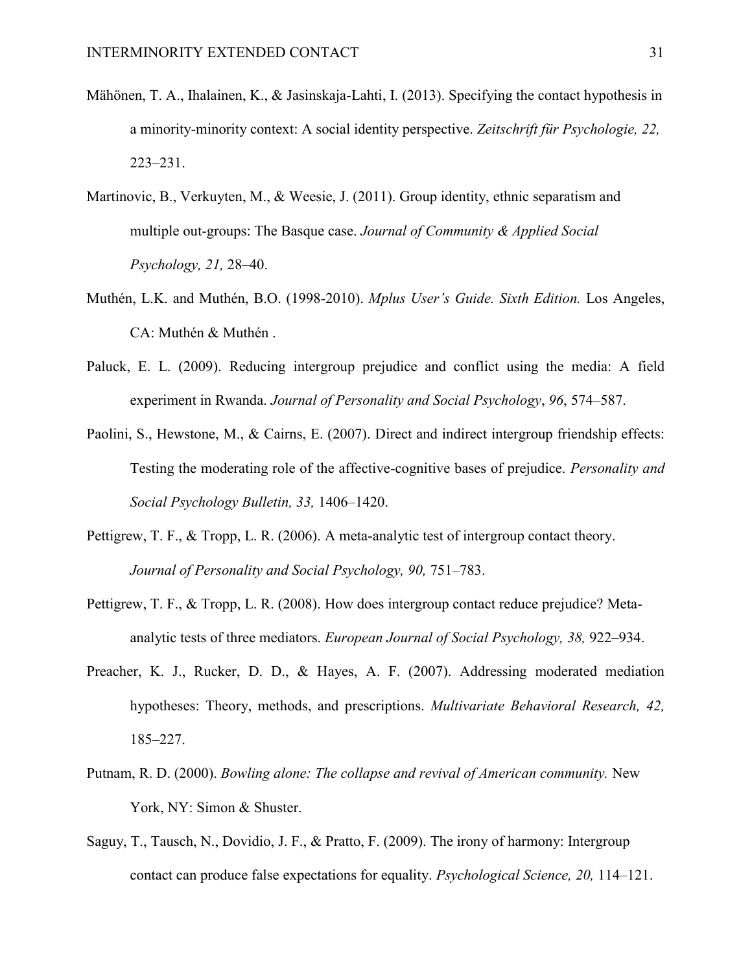- Mähönen, T. A., Ihalainen, K., & Jasinskaja-Lahti, I. (2013). Specifying the contact hypothesis in a minority-minority context: A social identity perspective. *Zeitschrift für Psychologie, 22,* 223–231.
- Martinovic, B., Verkuyten, M., & Weesie, J. (2011). Group identity, ethnic separatism and multiple out-groups: The Basque case. *Journal of Community & Applied Social Psychology, 21,* 28–40.
- Muthén, L.K. and Muthén, B.O. (1998-2010). *Mplus User's Guide. Sixth Edition.* Los Angeles, CA: Muthén & Muthén .
- Paluck, E. L. (2009). Reducing intergroup prejudice and conflict using the media: A field experiment in Rwanda. *Journal of Personality and Social Psychology*, *96*, 574–587.
- Paolini, S., Hewstone, M., & Cairns, E. (2007). Direct and indirect intergroup friendship effects: Testing the moderating role of the affective-cognitive bases of prejudice. *Personality and Social Psychology Bulletin, 33,* 1406–1420.
- Pettigrew, T. F., & Tropp, L. R. (2006). A meta-analytic test of intergroup contact theory. *Journal of Personality and Social Psychology, 90,* 751–783.
- Pettigrew, T. F., & Tropp, L. R. (2008). How does intergroup contact reduce prejudice? Metaanalytic tests of three mediators. *European Journal of Social Psychology, 38,* 922–934.
- Preacher, K. J., Rucker, D. D., & Hayes, A. F. (2007). Addressing moderated mediation hypotheses: Theory, methods, and prescriptions. *Multivariate Behavioral Research, 42,* 185–227.
- Putnam, R. D. (2000). *Bowling alone: The collapse and revival of American community.* New York, NY: Simon & Shuster.
- Saguy, T., Tausch, N., Dovidio, J. F., & Pratto, F. (2009). The irony of harmony: Intergroup contact can produce false expectations for equality. *Psychological Science, 20,* 114–121.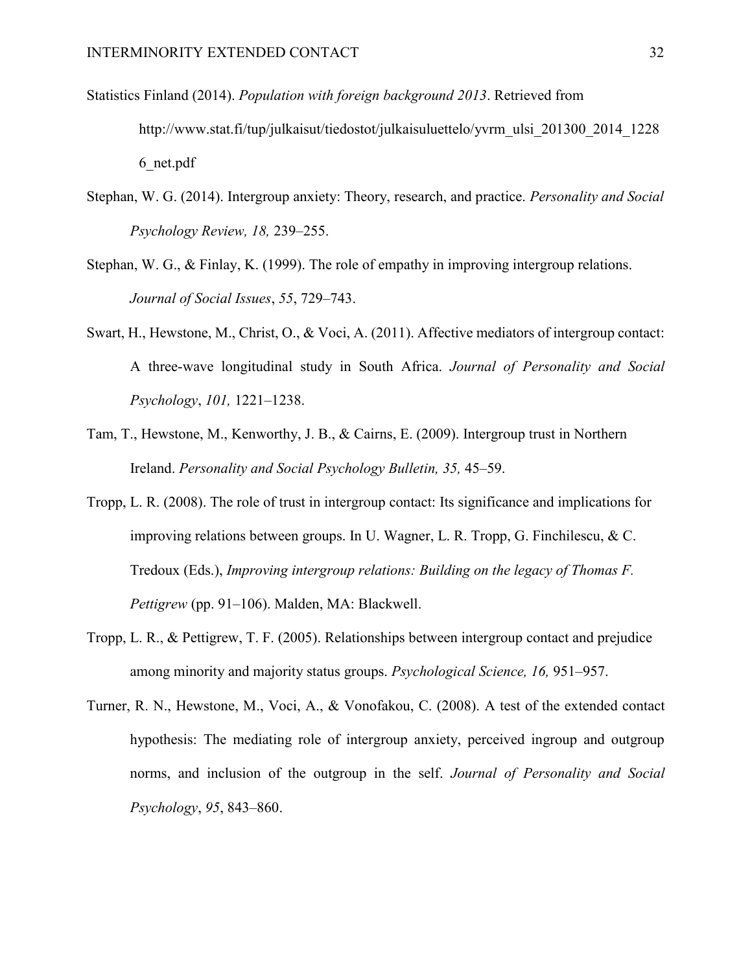- Statistics Finland (2014). *Population with foreign background 2013*. Retrieved from http://www.stat.fi/tup/julkaisut/tiedostot/julkaisuluettelo/yvrm\_ulsi\_201300\_2014\_1228 6\_net.pdf
- Stephan, W. G. (2014). Intergroup anxiety: Theory, research, and practice. *Personality and Social Psychology Review, 18,* 239–255.
- Stephan, W. G., & Finlay, K. (1999). The role of empathy in improving intergroup relations. *Journal of Social Issues*, *55*, 729–743.
- Swart, H., Hewstone, M., Christ, O., & Voci, A. (2011). Affective mediators of intergroup contact: A three-wave longitudinal study in South Africa. *Journal of Personality and Social Psychology*, *101,* 1221–1238.
- Tam, T., Hewstone, M., Kenworthy, J. B., & Cairns, E. (2009). Intergroup trust in Northern Ireland. *Personality and Social Psychology Bulletin, 35,* 45–59.
- Tropp, L. R. (2008). The role of trust in intergroup contact: Its significance and implications for improving relations between groups. In U. Wagner, L. R. Tropp, G. Finchilescu, & C. Tredoux (Eds.), *Improving intergroup relations: Building on the legacy of Thomas F. Pettigrew* (pp. 91–106). Malden, MA: Blackwell.
- Tropp, L. R., & Pettigrew, T. F. (2005). Relationships between intergroup contact and prejudice among minority and majority status groups. *Psychological Science, 16,* 951–957.
- Turner, R. N., Hewstone, M., Voci, A., & Vonofakou, C. (2008). A test of the extended contact hypothesis: The mediating role of intergroup anxiety, perceived ingroup and outgroup norms, and inclusion of the outgroup in the self. *Journal of Personality and Social Psychology*, *95*, 843–860.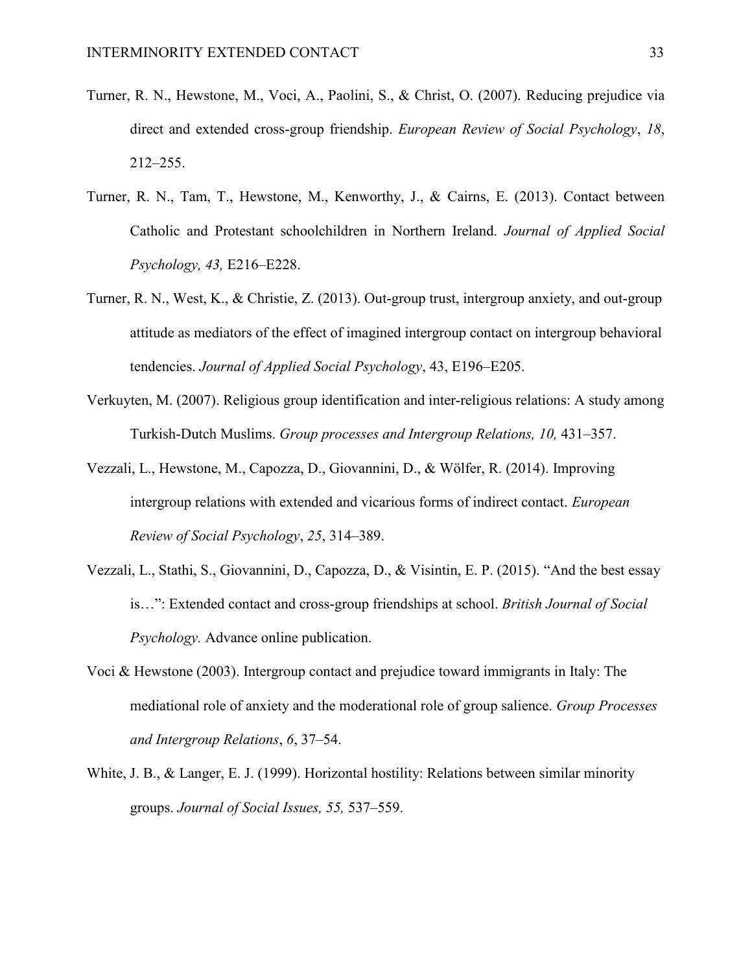- Turner, R. N., Hewstone, M., Voci, A., Paolini, S., & Christ, O. (2007). Reducing prejudice via direct and extended cross-group friendship. *European Review of Social Psychology*, *18*, 212–255.
- Turner, R. N., Tam, T., Hewstone, M., Kenworthy, J., & Cairns, E. (2013). Contact between Catholic and Protestant schoolchildren in Northern Ireland. *Journal of Applied Social Psychology, 43,* E216–E228.
- Turner, R. N., West, K., & Christie, Z. (2013). Out-group trust, intergroup anxiety, and out-group attitude as mediators of the effect of imagined intergroup contact on intergroup behavioral tendencies. *Journal of Applied Social Psychology*, 43, E196–E205.
- Verkuyten, M. (2007). Religious group identification and inter-religious relations: A study among Turkish-Dutch Muslims. *Group processes and Intergroup Relations, 10,* 431–357.
- Vezzali, L., Hewstone, M., Capozza, D., Giovannini, D., & Wölfer, R. (2014). Improving intergroup relations with extended and vicarious forms of indirect contact. *European Review of Social Psychology*, *25*, 314–389.
- Vezzali, L., Stathi, S., Giovannini, D., Capozza, D., & Visintin, E. P. (2015). "And the best essay is…": Extended contact and cross-group friendships at school. *British Journal of Social Psychology.* Advance online publication.
- Voci & Hewstone (2003). Intergroup contact and prejudice toward immigrants in Italy: The mediational role of anxiety and the moderational role of group salience. *Group Processes and Intergroup Relations*, *6*, 37–54.
- White, J. B., & Langer, E. J. (1999). Horizontal hostility: Relations between similar minority groups. *Journal of Social Issues, 55,* 537–559.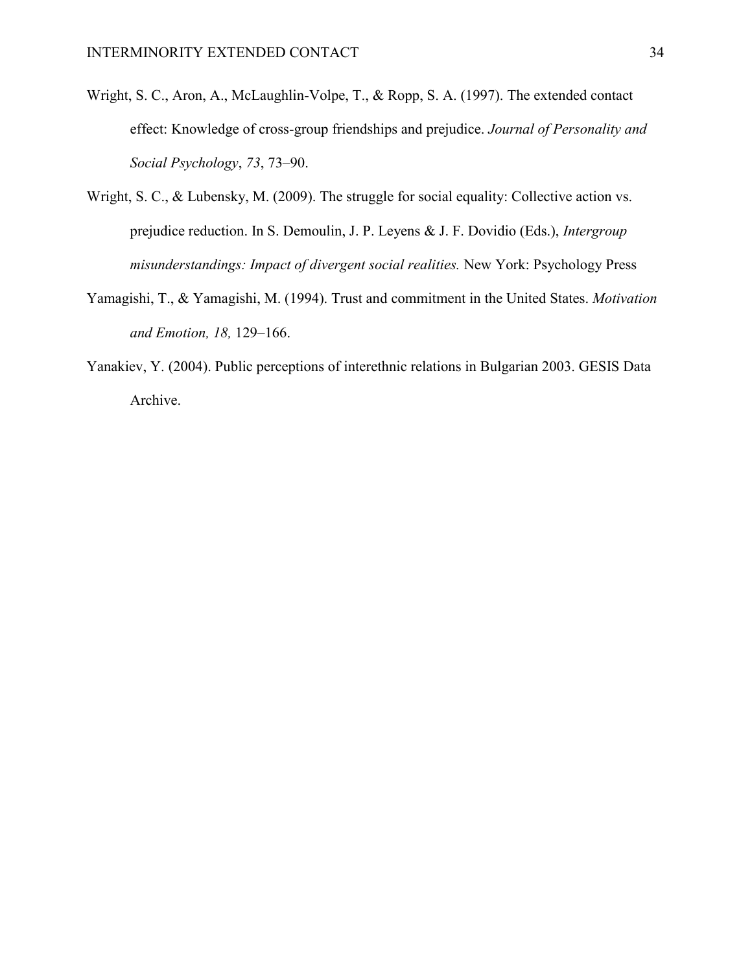- Wright, S. C., Aron, A., McLaughlin-Volpe, T., & Ropp, S. A. (1997). The extended contact effect: Knowledge of cross-group friendships and prejudice. *Journal of Personality and Social Psychology*, *73*, 73–90.
- Wright, S. C., & Lubensky, M. (2009). The struggle for social equality: Collective action vs. prejudice reduction. In S. Demoulin, J. P. Leyens & J. F. Dovidio (Eds.), *Intergroup misunderstandings: Impact of divergent social realities.* New York: Psychology Press
- Yamagishi, T., & Yamagishi, M. (1994). Trust and commitment in the United States. *Motivation and Emotion, 18,* 129–166.
- Yanakiev, Y. (2004). Public perceptions of interethnic relations in Bulgarian 2003. GESIS Data Archive.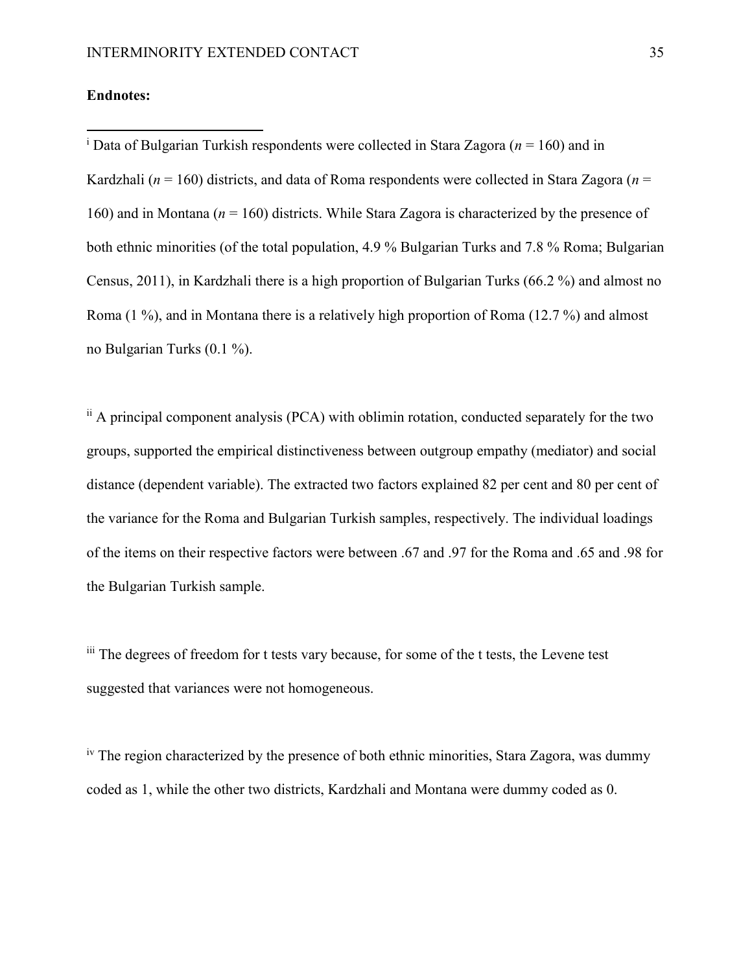## **Endnotes:**

 $\overline{\phantom{a}}$ 

<sup>i</sup> Data of Bulgarian Turkish respondents were collected in Stara Zagora ( $n = 160$ ) and in Kardzhali ( $n = 160$ ) districts, and data of Roma respondents were collected in Stara Zagora ( $n =$ 160) and in Montana (*n* = 160) districts. While Stara Zagora is characterized by the presence of both ethnic minorities (of the total population, 4.9 % Bulgarian Turks and 7.8 % Roma; Bulgarian Census, 2011), in Kardzhali there is a high proportion of Bulgarian Turks (66.2 %) and almost no Roma (1 %), and in Montana there is a relatively high proportion of Roma (12.7 %) and almost no Bulgarian Turks (0.1 %).

ii A principal component analysis (PCA) with oblimin rotation, conducted separately for the two groups, supported the empirical distinctiveness between outgroup empathy (mediator) and social distance (dependent variable). The extracted two factors explained 82 per cent and 80 per cent of the variance for the Roma and Bulgarian Turkish samples, respectively. The individual loadings of the items on their respective factors were between .67 and .97 for the Roma and .65 and .98 for the Bulgarian Turkish sample.

iii The degrees of freedom for t tests vary because, for some of the t tests, the Levene test suggested that variances were not homogeneous.

<sup>iv</sup> The region characterized by the presence of both ethnic minorities, Stara Zagora, was dummy coded as 1, while the other two districts, Kardzhali and Montana were dummy coded as 0.